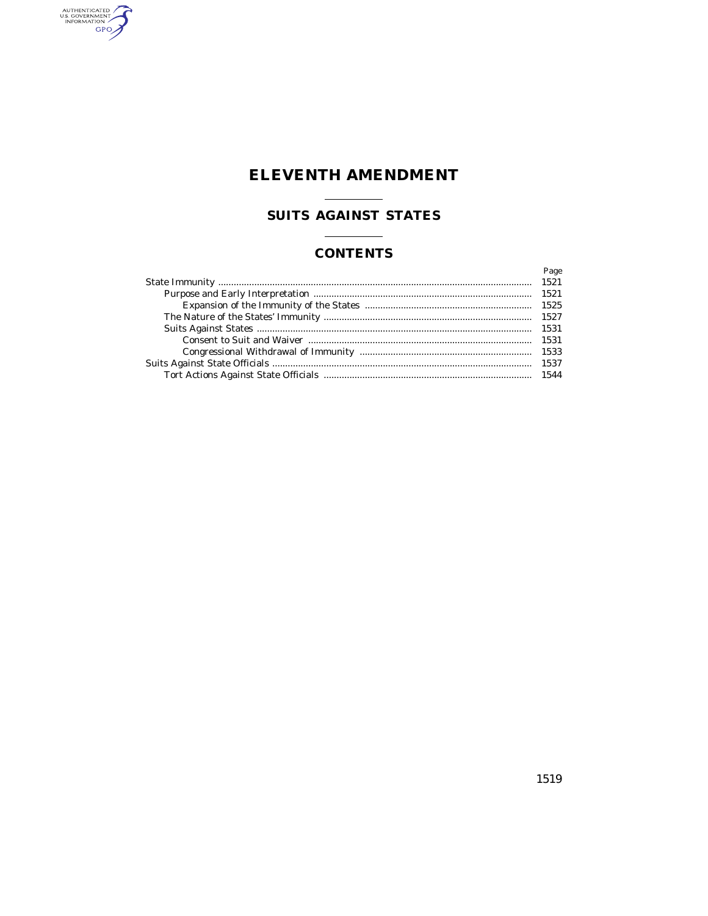# **ELEVENTH AMENDMENT**

AUTHENTICATED

## **SUITS AGAINST STATES**

### **CONTENTS**

| Page |
|------|
|      |
|      |
|      |
|      |
|      |
|      |
|      |
|      |
|      |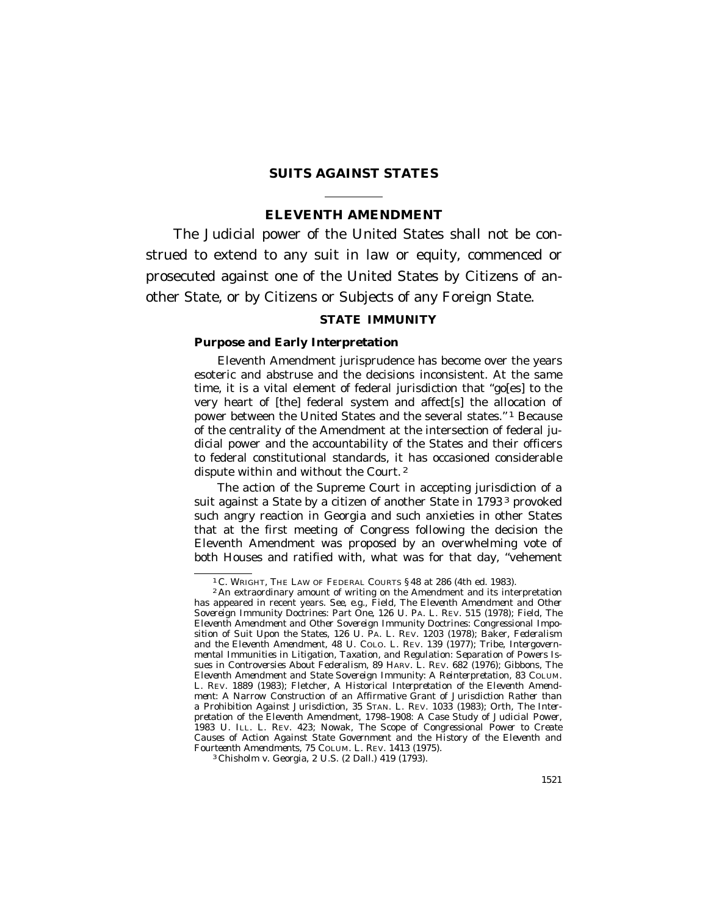### **SUITS AGAINST STATES**

#### **ELEVENTH AMENDMENT**

The Judicial power of the United States shall not be construed to extend to any suit in law or equity, commenced or prosecuted against one of the United States by Citizens of another State, or by Citizens or Subjects of any Foreign State.

#### **STATE IMMUNITY**

#### **Purpose and Early Interpretation**

Eleventh Amendment jurisprudence has become over the years esoteric and abstruse and the decisions inconsistent. At the same time, it is a vital element of federal jurisdiction that ''go[es] to the very heart of [the] federal system and affect[s] the allocation of power between the United States and the several states.'' 1 Because of the centrality of the Amendment at the intersection of federal judicial power and the accountability of the States and their officers to federal constitutional standards, it has occasioned considerable dispute within and without the Court. 2

The action of the Supreme Court in accepting jurisdiction of a suit against a State by a citizen of another State in 1793<sup>3</sup> provoked such angry reaction in Georgia and such anxieties in other States that at the first meeting of Congress following the decision the Eleventh Amendment was proposed by an overwhelming vote of both Houses and ratified with, what was for that day, ''vehement

<sup>1</sup> C. WRIGHT, THE LAW OF FEDERAL COURTS § 48 at 286 (4th ed. 1983).

<sup>2</sup> An extraordinary amount of writing on the Amendment and its interpretation has appeared in recent years. *See, e.g.*, Field, *The Eleventh Amendment and Other Sovereign Immunity Doctrines: Part One*, 126 U. PA. L. REV. 515 (1978); Field, *The Eleventh Amendment and Other Sovereign Immunity Doctrines: Congressional Imposition of Suit Upon the States*, 126 U. PA. L. REV. 1203 (1978); Baker, *Federalism and the Eleventh Amendment*, 48 U. COLO. L. REV. 139 (1977); Tribe, *Intergovernmental Immunities in Litigation, Taxation, and Regulation: Separation of Powers Issues in Controversies About Federalism*, 89 HARV. L. REV. 682 (1976); Gibbons, *The Eleventh Amendment and State Sovereign Immunity: A Reinterpretation*, 83 COLUM. L. REV. 1889 (1983); Fletcher, *A Historical Interpretation of the Eleventh Amendment: A Narrow Construction of an Affirmative Grant of Jurisdiction Rather than a Prohibition Against Jurisdiction*, 35 STAN. L. REV. 1033 (1983); Orth, *The Interpretation of the Eleventh Amendment, 1798–1908: A Case Study of Judicial Power*, 1983 U. ILL. L. REV. 423; Nowak, *The Scope of Congressional Power to Create Causes of Action Against State Government and the History of the Eleventh and Fourteenth Amendments*, 75 COLUM. L. REV. 1413 (1975).

<sup>3</sup> Chisholm v. Georgia, 2 U.S. (2 Dall.) 419 (1793).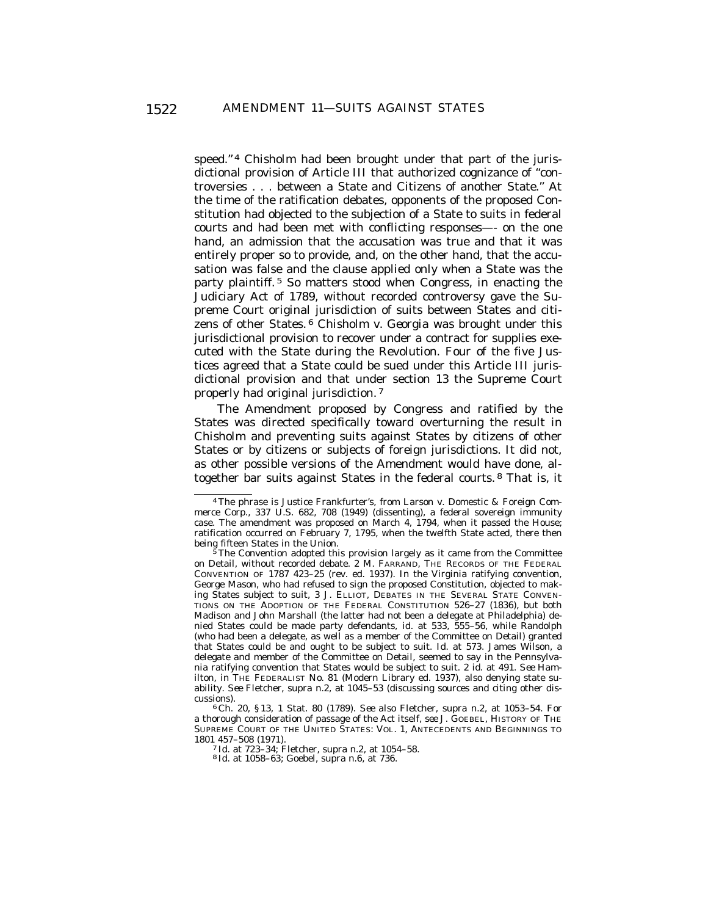speed."<sup>4</sup> *Chisholm* had been brought under that part of the jurisdictional provision of Article III that authorized cognizance of ''controversies . . . between a State and Citizens of another State.'' At the time of the ratification debates, opponents of the proposed Constitution had objected to the subjection of a State to suits in federal courts and had been met with conflicting responses—- on the one hand, an admission that the accusation was true and that it was entirely proper so to provide, and, on the other hand, that the accusation was false and the clause applied only when a State was the party plaintiff. 5 So matters stood when Congress, in enacting the Judiciary Act of 1789, without recorded controversy gave the Supreme Court original jurisdiction of suits between States and citizens of other States. 6 *Chisholm v. Georgia* was brought under this jurisdictional provision to recover under a contract for supplies executed with the State during the Revolution. Four of the five Justices agreed that a State could be sued under this Article III jurisdictional provision and that under section 13 the Supreme Court properly had original jurisdiction. 7

The Amendment proposed by Congress and ratified by the States was directed specifically toward overturning the result in *Chisholm* and preventing suits against States by citizens of other States or by citizens or subjects of foreign jurisdictions. It did not, as other possible versions of the Amendment would have done, altogether bar suits against States in the federal courts. 8 That is, it

<sup>4</sup>The phrase is Justice Frankfurter's, from Larson v. Domestic & Foreign Commerce Corp., 337 U.S. 682, 708 (1949) (dissenting), a federal sovereign immunity case. The amendment was proposed on March 4, 1794, when it passed the House; ratification occurred on February 7, 1795, when the twelfth State acted, there then<br>being fifteen States in the Union.

The Convention adopted this provision largely as it came from the Committee on Detail, without recorded debate. 2 M. FARRAND, THE RECORDS OF THE FEDERAL CONVENTION OF 1787 423–25 (rev. ed. 1937). In the Virginia ratifying convention, George Mason, who had refused to sign the proposed Constitution, objected to making States subject to suit, 3 J. ELLIOT, DEBATES IN THE SEVERAL STATE CONVEN-TIONS ON THE ADOPTION OF THE FEDERAL CONSTITUTION 526–27 (1836), but both Madison and John Marshall (the latter had not been a delegate at Philadelphia) denied States could be made party defendants, id. at 533, 555–56, while Randolph (who had been a delegate, as well as a member of the Committee on Detail) granted that States could be and ought to be subject to suit. Id. at 573. James Wilson, a delegate and member of the Committee on Detail, seemed to say in the Pennsylvania ratifying convention that States would be subject to suit. 2 id. at 491. *See* Hamilton, in THE FEDERALIST No. 81 (Modern Library ed. 1937), also denying state suability. *See* Fletcher, supra n.2, at 1045–53 (discussing sources and citing other discussions). <sup>6</sup> Ch. 20, § 13, 1 Stat. 80 (1789). *See also* Fletcher, supra n.2, at 1053–54. For

a thorough consideration of passage of the Act itself, *see* J. GOEBEL, HISTORY OF THE SUPREME COURT OF THE UNITED STATES: VOL. 1, ANTECEDENTS AND BEGINNINGS TO 1801 457–508 (1971). <sup>7</sup> Id. at 723–34; Fletcher, supra n.2, at 1054–58.

<sup>8</sup> Id. at 1058–63; Goebel, supra n.6, at 736.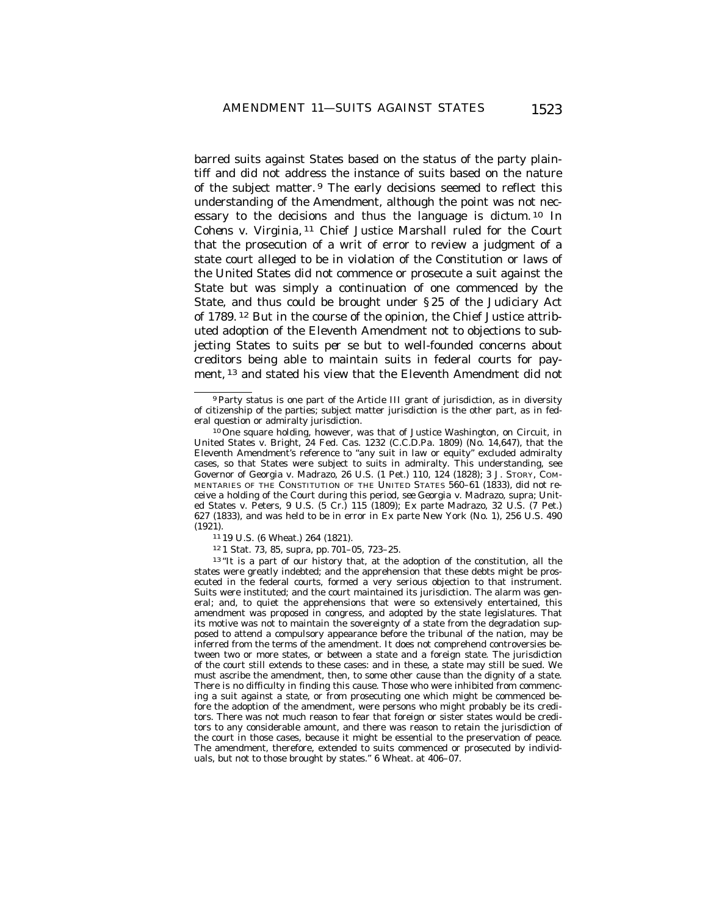barred suits against States based on the status of the party plaintiff and did not address the instance of suits based on the nature of the subject matter. 9 The early decisions seemed to reflect this understanding of the Amendment, although the point was not necessary to the decisions and thus the language is dictum. 10 In *Cohens v. Virginia*, 11 Chief Justice Marshall ruled for the Court that the prosecution of a writ of error to review a judgment of a state court alleged to be in violation of the Constitution or laws of the United States did not commence or prosecute a suit against the State but was simply a continuation of one commenced by the State, and thus could be brought under § 25 of the Judiciary Act of 1789. 12 But in the course of the opinion, the Chief Justice attributed adoption of the Eleventh Amendment not to objections to subjecting States to suits *per se* but to well-founded concerns about creditors being able to maintain suits in federal courts for payment, 13 and stated his view that the Eleventh Amendment did not

12 1 Stat. 73, 85, supra, pp. 701–05, 723–25.

<sup>13</sup>"It is a part of our history that, at the adoption of the constitution, all the states were greatly indebted; and the apprehension that these debts might be prosecuted in the federal courts, formed a very serious objection to that instrument. Suits were instituted; and the court maintained its jurisdiction. The alarm was general; and, to quiet the apprehensions that were so extensively entertained, this amendment was proposed in congress, and adopted by the state legislatures. That its motive was not to maintain the sovereignty of a state from the degradation supposed to attend a compulsory appearance before the tribunal of the nation, may be inferred from the terms of the amendment. It does not comprehend controversies between two or more states, or between a state and a foreign state. The jurisdiction of the court still extends to these cases: and in these, a state may still be sued. We must ascribe the amendment, then, to some other cause than the dignity of a state. There is no difficulty in finding this cause. Those who were inhibited from commencing a suit against a state, or from prosecuting one which might be commenced before the adoption of the amendment, were persons who might probably be its creditors. There was not much reason to fear that foreign or sister states would be creditors to any considerable amount, and there was reason to retain the jurisdiction of the court in those cases, because it might be essential to the preservation of peace. The amendment, therefore, extended to suits commenced or prosecuted by individuals, but not to those brought by states.'' 6 Wheat. at 406–07.

<sup>9</sup>Party status is one part of the Article III grant of jurisdiction, as in diversity of citizenship of the parties; subject matter jurisdiction is the other part, as in federal question or admiralty jurisdiction.

<sup>10</sup>One square holding, however, was that of Justice Washington, on Circuit, in United States v. Bright, 24 Fed. Cas. 1232 (C.C.D.Pa. 1809) (No. 14,647), that the Eleventh Amendment's reference to ''any suit in law or equity'' excluded admiralty cases, so that States were subject to suits in admiralty. This understanding, see Governor of Georgia v. Madrazo, 26 U.S. (1 Pet.) 110, 124 (1828); 3 J. STORY, COM-MENTARIES OF THE CONSTITUTION OF THE UNITED STATES 560–61 (1833), did not receive a holding of the Court during this period, *see Georgia v. Madrazo*, supra; United States v. Peters, 9 U.S. (5 Cr.) 115 (1809); Ex parte Madrazo, 32 U.S. (7 Pet.) 627 (1833), and was held to be in error in Ex parte New York (No. 1), 256 U.S. 490 (1921).

<sup>11</sup> 19 U.S. (6 Wheat.) 264 (1821).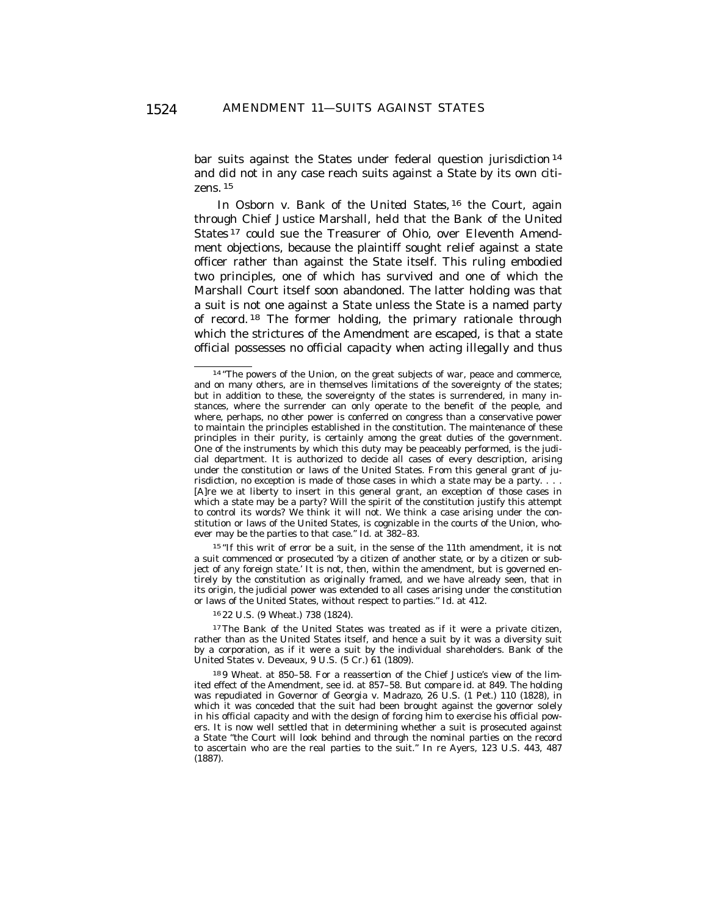bar suits against the States under federal question jurisdiction 14 and did not in any case reach suits against a State by its own citizens. 15

In *Osborn v. Bank of the United States*, 16 the Court, again through Chief Justice Marshall, held that the Bank of the United States 17 could sue the Treasurer of Ohio, over Eleventh Amendment objections, because the plaintiff sought relief against a state officer rather than against the State itself. This ruling embodied two principles, one of which has survived and one of which the Marshall Court itself soon abandoned. The latter holding was that a suit is not one against a State unless the State is a named party of record. 18 The former holding, the primary rationale through which the strictures of the Amendment are escaped, is that a state official possesses no official capacity when acting illegally and thus

15 ''If this writ of error be a suit, in the sense of the 11th amendment, it is not a suit commenced or prosecuted 'by a citizen of another state, or by a citizen or subject of any foreign state.' It is not, then, within the amendment, but is governed entirely by the constitution as originally framed, and we have already seen, that in its origin, the judicial power was extended to all cases arising under the constitution or laws of the United States, without respect to parties.'' Id. at 412.

16 22 U.S. (9 Wheat.) 738 (1824).

<sup>17</sup>The Bank of the United States was treated as if it were a private citizen, rather than as the United States itself, and hence a suit by it was a diversity suit by a corporation, as if it were a suit by the individual shareholders. Bank of the United States v. Deveaux, 9 U.S. (5 Cr.) 61 (1809).

18 9 Wheat. at 850–58. For a reassertion of the Chief Justice's view of the limited effect of the Amendment, see id. at 857–58. But *compare* id. at 849. The holding was repudiated in Governor of Georgia v. Madrazo, 26 U.S. (1 Pet.) 110 (1828), in which it was conceded that the suit had been brought against the governor solely in his official capacity and with the design of forcing him to exercise his official powers. It is now well settled that in determining whether a suit is prosecuted against a State ''the Court will look behind and through the nominal parties on the record to ascertain who are the real parties to the suit.'' In re Ayers, 123 U.S. 443, 487 (1887).

<sup>&</sup>lt;sup>14</sup> "The powers of the Union, on the great subjects of war, peace and commerce, and on many others, are in themselves limitations of the sovereignty of the states; but in addition to these, the sovereignty of the states is surrendered, in many instances, where the surrender can only operate to the benefit of the people, and where, perhaps, no other power is conferred on congress than a conservative power to maintain the principles established in the constitution. The maintenance of these principles in their purity, is certainly among the great duties of the government. One of the instruments by which this duty may be peaceably performed, is the judicial department. It is authorized to decide all cases of every description, arising under the constitution or laws of the United States. From this general grant of jurisdiction, no exception is made of those cases in which a state may be a party. . . . [A]re we at liberty to insert in this general grant, an exception of those cases in which a state may be a party? Will the spirit of the constitution justify this attempt to control its words? We think it will not. We think a case arising under the constitution or laws of the United States, is cognizable in the courts of the Union, whoever may be the parties to that case.'' Id. at 382–83.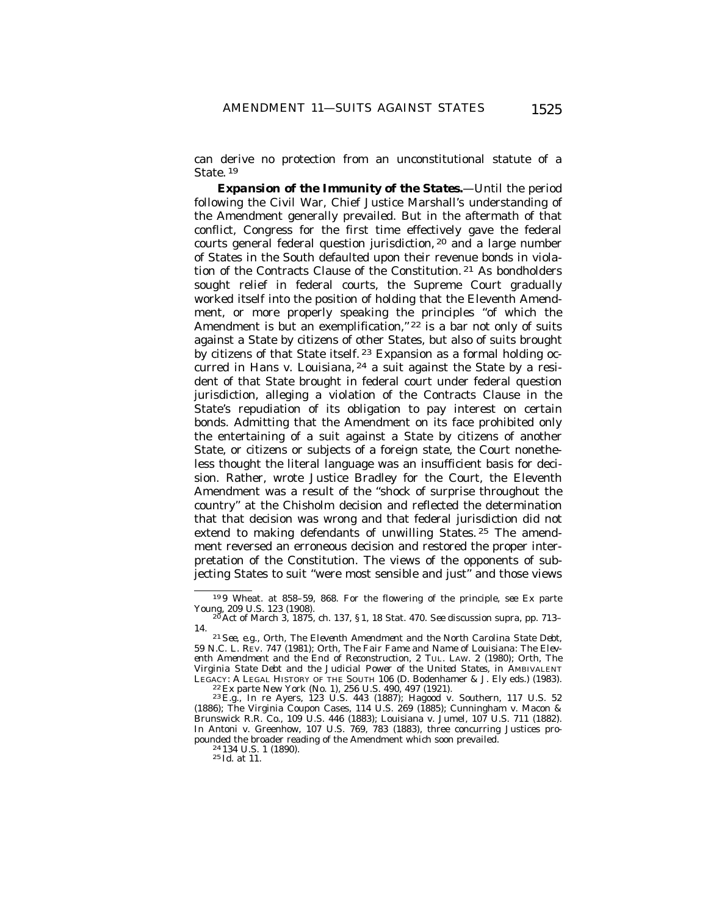can derive no protection from an unconstitutional statute of a State. 19

*Expansion of the Immunity of the States.*—Until the period following the Civil War, Chief Justice Marshall's understanding of the Amendment generally prevailed. But in the aftermath of that conflict, Congress for the first time effectively gave the federal courts general federal question jurisdiction, 20 and a large number of States in the South defaulted upon their revenue bonds in violation of the Contracts Clause of the Constitution. 21 As bondholders sought relief in federal courts, the Supreme Court gradually worked itself into the position of holding that the Eleventh Amendment, or more properly speaking the principles ''of which the Amendment is but an exemplification," $22$  is a bar not only of suits against a State by citizens of other States, but also of suits brought by citizens of that State itself. 23 Expansion as a formal holding occurred in *Hans v. Louisiana*, 24 a suit against the State by a resident of that State brought in federal court under federal question jurisdiction, alleging a violation of the Contracts Clause in the State's repudiation of its obligation to pay interest on certain bonds. Admitting that the Amendment on its face prohibited only the entertaining of a suit against a State by citizens of another State, or citizens or subjects of a foreign state, the Court nonetheless thought the literal language was an insufficient basis for decision. Rather, wrote Justice Bradley for the Court, the Eleventh Amendment was a result of the ''shock of surprise throughout the country'' at the *Chisholm* decision and reflected the determination that that decision was wrong and that federal jurisdiction did not extend to making defendants of unwilling States.<sup>25</sup> The amendment reversed an erroneous decision and restored the proper interpretation of the Constitution. The views of the opponents of subjecting States to suit ''were most sensible and just'' and those views

 $22$  Ex parte New York (No. 1), 256 U.S. 490, 497 (1921).<br> $23$  E.g., In re Ayers, 123 U.S. 443 (1887); Hagood v. Southern, 117 U.S. 52 (1886); The Virginia Coupon Cases, 114 U.S. 269 (1885); Cunningham v. Macon & Brunswick R.R. Co., 109 U.S. 446 (1883); Louisiana v. Jumel, 107 U.S. 711 (1882). In Antoni v. Greenhow, 107 U.S. 769, 783 (1883), three concurring Justices propounded the broader reading of the Amendment which soon prevailed. <br> $^{24}\,134$  U.S. 1 (1890).  $^{25}\,$  Id. at 11.

<sup>19</sup> 9 Wheat. at 858–59, 868. For the flowering of the principle, *see* Ex parte Young, 209 U.S. 123 (1908). <sup>20</sup> Act of March 3, 1875, ch. 137, § 1, 18 Stat. 470. *See* discussion supra, pp. 713–

<sup>14.</sup> <sup>21</sup>*See, e.g.*, Orth, *The Eleventh Amendment and the North Carolina State Debt*,

<sup>59</sup> N.C. L. REV. 747 (1981); Orth, *The Fair Fame and Name of Louisiana: The Eleventh Amendment and the End of Reconstruction*, 2 TUL. LAW. 2 (1980); Orth, *The Virginia State Debt and the Judicial Power of the United States*, in AMBIVALENT LEGACY: A LEGAL HISTORY OF THE SOUTH 106 (D. Bodenhamer & J. Ely eds.) (1983).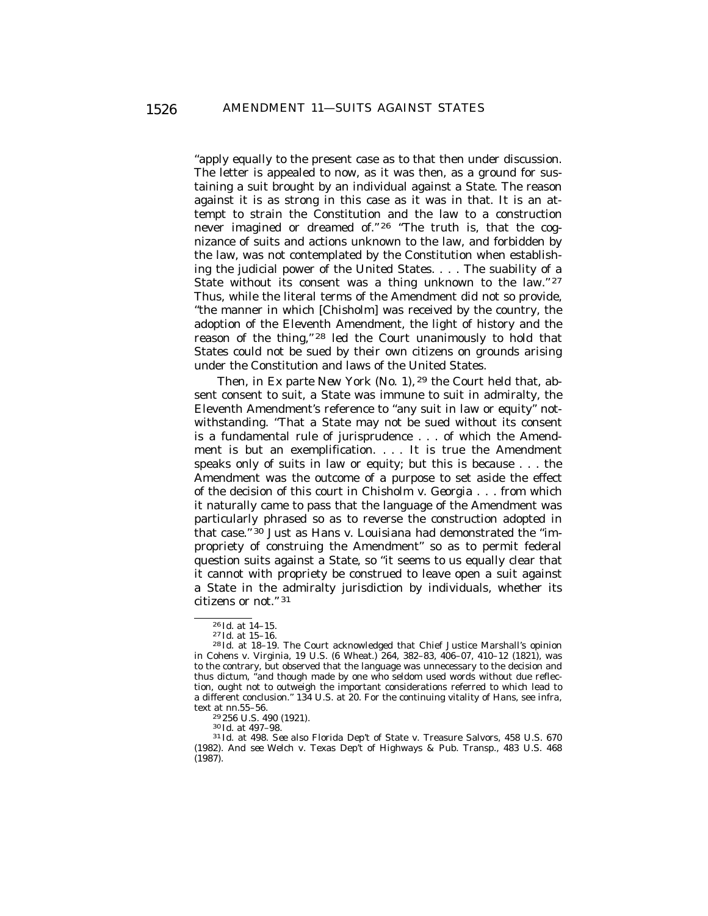"apply equally to the present case as to that then under discussion. The letter is appealed to now, as it was then, as a ground for sustaining a suit brought by an individual against a State. The reason against it is as strong in this case as it was in that. It is an attempt to strain the Constitution and the law to a construction never imagined or dreamed of."<sup>26</sup> "The truth is, that the cognizance of suits and actions unknown to the law, and forbidden by the law, was not contemplated by the Constitution when establishing the judicial power of the United States. . . . The suability of a State without its consent was a thing unknown to the law."27 Thus, while the literal terms of the Amendment did not so provide, ''the manner in which [*Chisholm*] was received by the country, the adoption of the Eleventh Amendment, the light of history and the reason of the thing,"<sup>28</sup> led the Court unanimously to hold that States could not be sued by their own citizens on grounds arising under the Constitution and laws of the United States.

Then, in *Ex parte New York* (No. 1), 29 the Court held that, absent consent to suit, a State was immune to suit in admiralty, the Eleventh Amendment's reference to "any suit in law or equity" notwithstanding. "That a State may not be sued without its consent is a fundamental rule of jurisprudence . . . of which the Amendment is but an exemplification. . . . It is true the Amendment speaks only of suits in law or equity; but this is because . . . the Amendment was the outcome of a purpose to set aside the effect of the decision of this court in *Chisholm v. Georgia* . . . from which it naturally came to pass that the language of the Amendment was particularly phrased so as to reverse the construction adopted in that case.'' 30 Just as *Hans v. Louisiana* had demonstrated the ''impropriety of construing the Amendment'' so as to permit federal question suits against a State, so ''it seems to us equally clear that it cannot with propriety be construed to leave open a suit against a State in the admiralty jurisdiction by individuals, whether its citizens or not.'' 31

<sup>&</sup>lt;sup>26</sup> Id. at 14–15.<br><sup>27</sup> Id. at 15–16.<br><sup>28</sup> Id. at 18–19. The Court acknowledged that Chief Justice Marshall's opinion in Cohens v. Virginia, 19 U.S. (6 Wheat.) 264, 382–83, 406–07, 410–12 (1821), was to the contrary, but observed that the language was unnecessary to the decision and thus dictum, ''and though made by one who seldom used words without due reflection, ought not to outweigh the important considerations referred to which lead to a different conclusion.'' 134 U.S. at 20. For the continuing vitality of *Hans*, see *infra*,

text at nn.55–56. <sup>29</sup> 256 U.S. 490 (1921). <sup>30</sup> Id. at 497–98. <sup>31</sup> Id. at 498. *See also* Florida Dep't of State v. Treasure Salvors, 458 U.S. 670 (1982). *And see* Welch v. Texas Dep't of Highways & Pub. Transp., 483 U.S. 468 (1987).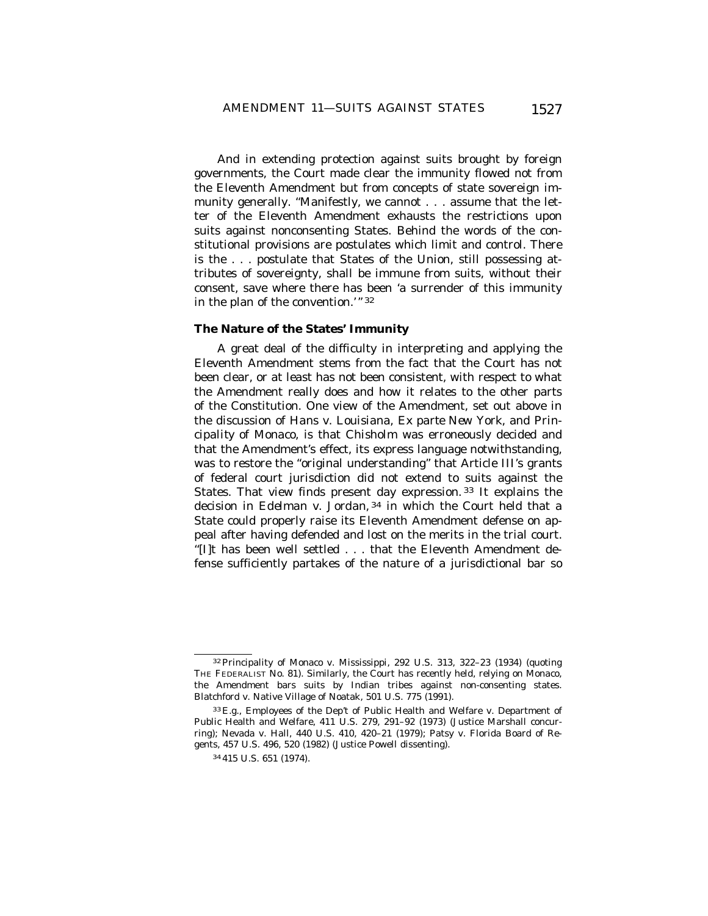And in extending protection against suits brought by foreign governments, the Court made clear the immunity flowed not from the Eleventh Amendment but from concepts of state sovereign immunity generally. "Manifestly, we cannot . . . assume that the letter of the Eleventh Amendment exhausts the restrictions upon suits against nonconsenting States. Behind the words of the constitutional provisions are postulates which limit and control. There is the . . . postulate that States of the Union, still possessing attributes of sovereignty, shall be immune from suits, without their consent, save where there has been 'a surrender of this immunity in the plan of the convention.'"<sup>32</sup>

#### **The Nature of the States' Immunity**

A great deal of the difficulty in interpreting and applying the Eleventh Amendment stems from the fact that the Court has not been clear, or at least has not been consistent, with respect to what the Amendment really does and how it relates to the other parts of the Constitution. One view of the Amendment, set out above in the discussion of *Hans v. Louisiana*, *Ex parte New York*, and *Principality of Monaco*, is that *Chisholm* was erroneously decided and that the Amendment's effect, its express language notwithstanding, was to restore the "original understanding" that Article III's grants of federal court jurisdiction did not extend to suits against the States. That view finds present day expression. 33 It explains the decision in *Edelman v. Jordan*, 34 in which the Court held that a State could properly raise its Eleventh Amendment defense on appeal after having defended and lost on the merits in the trial court. "[I]t has been well settled . . . that the Eleventh Amendment defense sufficiently partakes of the nature of a jurisdictional bar so

<sup>32</sup>Principality of Monaco v. Mississippi, 292 U.S. 313, 322–23 (1934) (quoting THE FEDERALIST No. 81). Similarly, the Court has recently held, relying on *Monaco*, the Amendment bars suits by Indian tribes against non-consenting states. Blatchford v. Native Village of Noatak, 501 U.S. 775 (1991).

<sup>33</sup> E.g., Employees of the Dep't of Public Health and Welfare v. Department of Public Health and Welfare, 411 U.S. 279, 291–92 (1973) (Justice Marshall concurring); Nevada v. Hall, 440 U.S. 410, 420–21 (1979); Patsy v. Florida Board of Regents, 457 U.S. 496, 520 (1982) (Justice Powell dissenting).

<sup>34</sup> 415 U.S. 651 (1974).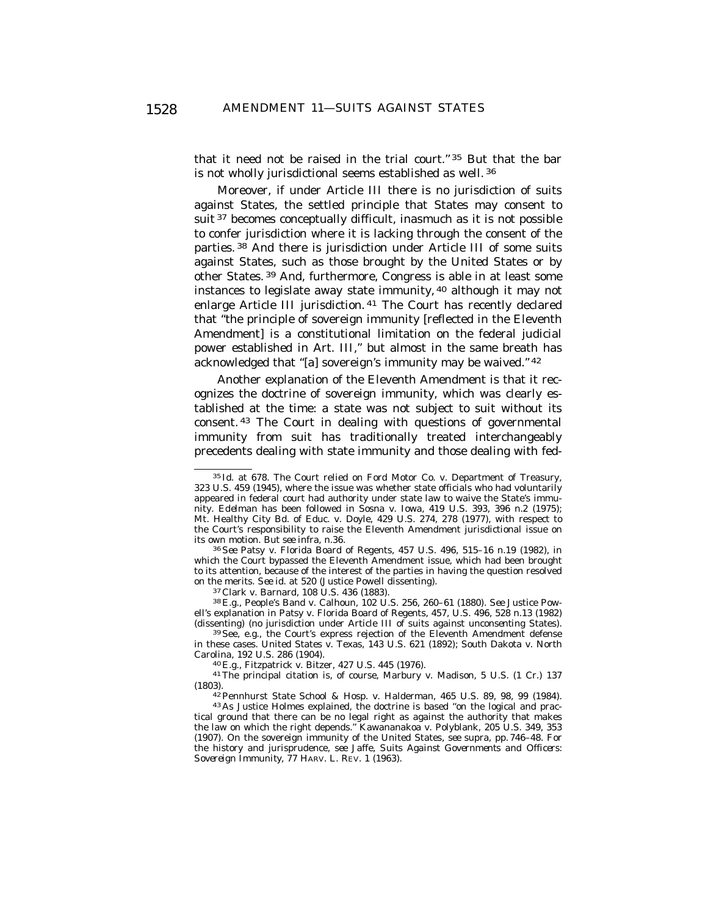that it need not be raised in the trial court." 35 But that the bar is not wholly jurisdictional seems established as well. 36

Moreover, if under Article III there is no jurisdiction of suits against States, the settled principle that States may consent to suit 37 becomes conceptually difficult, inasmuch as it is not possible to confer jurisdiction where it is lacking through the consent of the parties. 38 And there is jurisdiction under Article III of some suits against States, such as those brought by the United States or by other States. 39 And, furthermore, Congress is able in at least some instances to legislate away state immunity, 40 although it may not enlarge Article III jurisdiction. 41 The Court has recently declared that ''the principle of sovereign immunity [reflected in the Eleventh Amendment] is a constitutional limitation on the federal judicial power established in Art. III,'' but almost in the same breath has acknowledged that ''[a] sovereign's immunity may be waived.'' 42

Another explanation of the Eleventh Amendment is that it recognizes the doctrine of sovereign immunity, which was clearly established at the time: a state was not subject to suit without its consent. 43 The Court in dealing with questions of governmental immunity from suit has traditionally treated interchangeably precedents dealing with state immunity and those dealing with fed-

37 Clark v. Barnard, 108 U.S. 436 (1883).

38 E.g., People's Band v. Calhoun, 102 U.S. 256, 260–61 (1880). *See* Justice Powell's explanation in Patsy v. Florida Board of Regents, 457, U.S. 496, 528 n.13 (1982) (dissenting) (no jurisdiction under Article III of suits against *unconsenting* States).

39See, e.g., the Court's express rejection of the Eleventh Amendment defense in these cases. United States v. Texas, 143 U.S. 621 (1892); South Dakota v. North Carolina, 192 U.S. 286 (1904).

40 E.g., Fitzpatrick v. Bitzer, 427 U.S. 445 (1976).

41The principal citation is, of course, Marbury v. Madison, 5 U.S. (1 Cr.) 137 (1803).

42Pennhurst State School & Hosp. v. Halderman, 465 U.S. 89, 98, 99 (1984). 43 As Justice Holmes explained, the doctrine is based ''on the logical and prac-

tical ground that there can be no legal right as against the authority that makes the law on which the right depends.'' Kawananakoa v. Polyblank, 205 U.S. 349, 353 (1907). On the sovereign immunity of the United States, *see* supra, pp. 746–48. For the history and jurisprudence, *see* Jaffe, *Suits Against Governments and Officers: Sovereign Immunity*, 77 HARV. L. REV. 1 (1963).

<sup>35</sup> Id. at 678. The Court relied on Ford Motor Co. v. Department of Treasury, 323 U.S. 459 (1945), where the issue was whether state officials who had voluntarily appeared in federal court had authority under state law to waive the State's immunity. *Edelman* has been followed in Sosna v. Iowa, 419 U.S. 393, 396 n.2 (1975); Mt. Healthy City Bd. of Educ. v. Doyle, 429 U.S. 274, 278 (1977), with respect to the Court's responsibility to raise the Eleventh Amendment jurisdictional issue on its own motion. *But see* infra, n.36.

<sup>36</sup>*See* Patsy v. Florida Board of Regents, 457 U.S. 496, 515–16 n.19 (1982), in which the Court bypassed the Eleventh Amendment issue, which had been brought to its attention, because of the interest of the parties in having the question resolved on the merits. *See* id. at 520 (Justice Powell dissenting).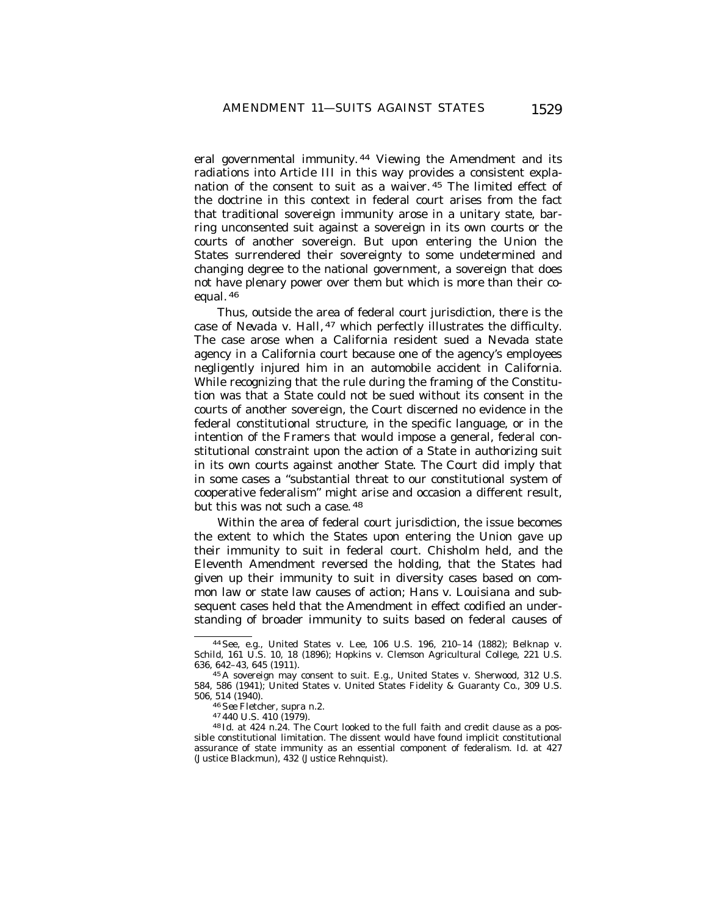eral governmental immunity. 44 Viewing the Amendment and its radiations into Article III in this way provides a consistent explanation of the consent to suit as a waiver. 45 The limited effect of the doctrine in this context in federal court arises from the fact that traditional sovereign immunity arose in a unitary state, barring unconsented suit against a sovereign in its own courts or the courts of another sovereign. But upon entering the Union the States surrendered their sovereignty to some undetermined and changing degree to the national government, a sovereign that does not have plenary power over them but which is more than their coequal. 46

Thus, outside the area of federal court jurisdiction, there is the case of *Nevada v. Hall*, 47 which perfectly illustrates the difficulty. The case arose when a California resident sued a Nevada state agency in a California court because one of the agency's employees negligently injured him in an automobile accident in California. While recognizing that the rule during the framing of the Constitution was that a State could not be sued without its consent in the courts of another sovereign, the Court discerned no evidence in the federal constitutional structure, in the specific language, or in the intention of the Framers that would impose a general, federal constitutional constraint upon the action of a State in authorizing suit in its own courts against another State. The Court did imply that in some cases a ''substantial threat to our constitutional system of cooperative federalism'' might arise and occasion a different result, but this was not such a case. 48

Within the area of federal court jurisdiction, the issue becomes the extent to which the States upon entering the Union gave up their immunity to suit in federal court. *Chisholm* held, and the Eleventh Amendment reversed the holding, that the States had given up their immunity to suit in diversity cases based on common law or state law causes of action; *Hans v. Louisiana* and subsequent cases held that the Amendment in effect codified an understanding of broader immunity to suits based on federal causes of

<sup>44</sup>See, e.g., United States v. Lee, 106 U.S. 196, 210–14 (1882); Belknap v. Schild, 161 U.S. 10, 18 (1896); Hopkins v. Clemson Agricultural College, 221 U.S. 636, 642–43, 645 (1911).

<sup>45</sup> A sovereign may consent to suit. E.g., United States v. Sherwood, 312 U.S. 584, 586 (1941); United States v. United States Fidelity & Guaranty Co., 309 U.S. 506, 514 (1940).

<sup>46</sup>*See* Fletcher, supra n.2.

<sup>47</sup> 440 U.S. 410 (1979).

<sup>48</sup> Id. at 424 n.24. The Court looked to the full faith and credit clause as a possible constitutional limitation. The dissent would have found implicit constitutional assurance of state immunity as an essential component of federalism. Id. at 427 (Justice Blackmun), 432 (Justice Rehnquist).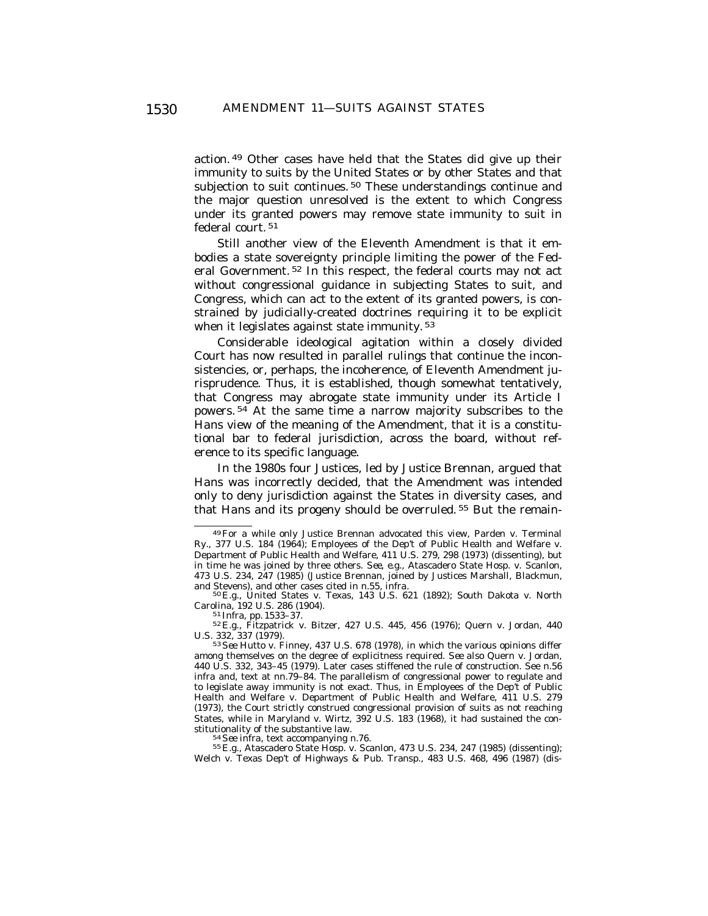action. 49 Other cases have held that the States did give up their immunity to suits by the United States or by other States and that subjection to suit continues. 50 These understandings continue and the major question unresolved is the extent to which Congress under its granted powers may remove state immunity to suit in federal court. 51

Still another view of the Eleventh Amendment is that it embodies a state sovereignty principle limiting the power of the Federal Government. 52 In this respect, the federal courts may not act without congressional guidance in subjecting States to suit, and Congress, which can act to the extent of its granted powers, is constrained by judicially-created doctrines requiring it to be explicit when it legislates against state immunity.<sup>53</sup>

Considerable ideological agitation within a closely divided Court has now resulted in parallel rulings that continue the inconsistencies, or, perhaps, the incoherence, of Eleventh Amendment jurisprudence. Thus, it is established, though somewhat tentatively, that Congress may abrogate state immunity under its Article I powers. 54 At the same time a narrow majority subscribes to the *Hans* view of the meaning of the Amendment, that it is a constitutional bar to federal jurisdiction, across the board, without reference to its specific language.

In the 1980s four Justices, led by Justice Brennan, argued that *Hans* was incorrectly decided, that the Amendment was intended only to deny jurisdiction against the States in diversity cases, and that *Hans* and its progeny should be overruled. 55 But the remain-

Carolina, 192 U.S. 286 (1904).<br>
<sup>51</sup> Infra, pp. 1533–37.<br>
<sup>52</sup> E.g., Fitzpatrick v. Bitzer, 427 U.S. 445, 456 (1976); Quern v. Jordan, 440<br>
U.S. 332, 337 (1979).

Welch v. Texas Dep't of Highways & Pub. Transp., 483 U.S. 468, 496 (1987) (dis-

<sup>49</sup>For a while only Justice Brennan advocated this view, Parden v. Terminal Ry., 377 U.S. 184 (1964); Employees of the Dep't of Public Health and Welfare v. Department of Public Health and Welfare, 411 U.S. 279, 298 (1973) (dissenting), but in time he was joined by three others. *See, e.g.,* Atascadero State Hosp. v. Scanlon, 473 U.S. 234, 247 (1985) (Justice Brennan, joined by Justices Marshall, Blackmun, and Stevens), and other cases cited in n.55, *infra*.

<sup>&</sup>lt;sup>50</sup> E.g., United States v. Texas, 143 U.S. 621 (1892); South Dakota v. North

<sup>&</sup>lt;sup>53</sup> See Hutto v. Finney, 437 U.S. 678 (1978), in which the various opinions differ among themselves on the degree of explicitness required. *See also* Quern v. Jordan, 440 U.S. 332, 343–45 (1979). Later cases stiffened the rule of construction. See n.56 infra and, text at nn.79–84. The parallelism of congressional power to regulate and to legislate away immunity is not exact. Thus, in Employees of the Dep't of Public Health and Welfare v. Department of Public Health and Welfare, 411 U.S. 279 (1973), the Court strictly construed congressional provision of suits as not reaching States, while in Maryland v. Wirtz, 392 U.S. 183 (1968), it had sustained the constitutionality of the substantive law.<br><sup>54</sup> See infra, text accompanying n.76.<br><sup>55</sup> E.g., Atascadero State Hosp. v. Scanlon, 473 U.S. 234, 247 (1985) (dissenting);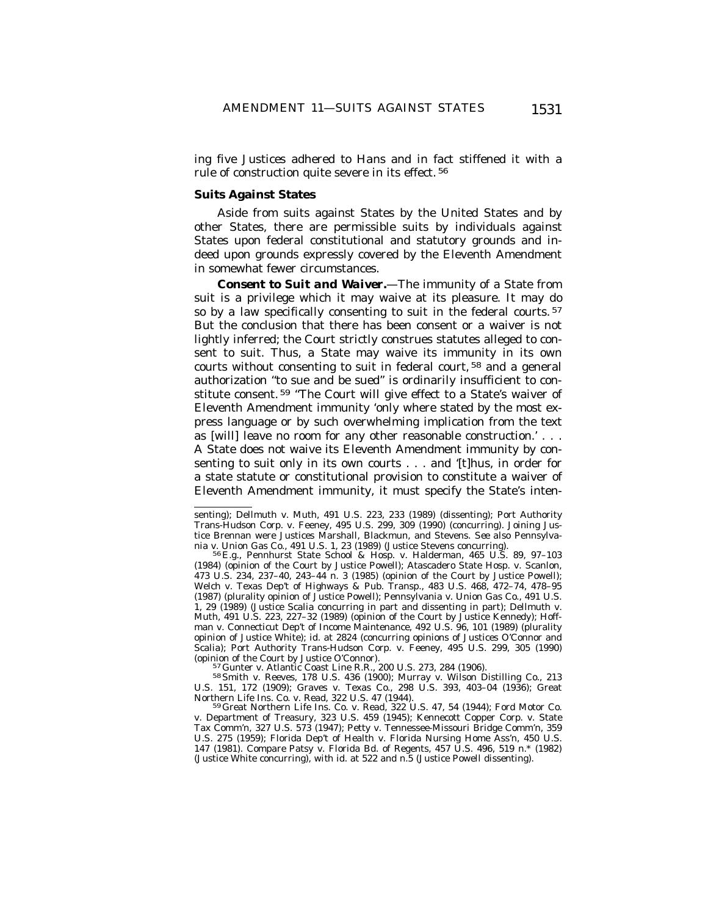ing five Justices adhered to *Hans* and in fact stiffened it with a rule of construction quite severe in its effect. 56

#### **Suits Against States**

Aside from suits against States by the United States and by other States, there are permissible suits by individuals against States upon federal constitutional and statutory grounds and indeed upon grounds expressly covered by the Eleventh Amendment in somewhat fewer circumstances.

*Consent to Suit and Waiver.*—The immunity of a State from suit is a privilege which it may waive at its pleasure. It may do so by a law specifically consenting to suit in the federal courts. 57 But the conclusion that there has been consent or a waiver is not lightly inferred; the Court strictly construes statutes alleged to consent to suit. Thus, a State may waive its immunity in its own courts without consenting to suit in federal court, 58 and a general authorization ''to sue and be sued'' is ordinarily insufficient to constitute consent. 59 ''The Court will give effect to a State's waiver of Eleventh Amendment immunity 'only where stated by the most express language or by such overwhelming implication from the text as [will] leave no room for any other reasonable construction.' . . . A State does not waive its Eleventh Amendment immunity by consenting to suit only in its own courts . . . and '[t]hus, in order for a state statute or constitutional provision to constitute a waiver of Eleventh Amendment immunity, it must specify the State's inten-

(opinion of the Court by Justice O'Connor).<br><sup>57</sup>Gunter v. Atlantic Coast Line R.R., 200 U.S. 273, 284 (1906).<br><sup>58</sup>Smith v. Reeves, 178 U.S. 436 (1900); Murray v. Wilson Distilling Co., 213 U.S. 151, 172 (1909); Graves v. Texas Co., 298 U.S. 393, 403–04 (1936); Great Northern Life Ins. Co. v. Read, 322 U.S. 47 (1944). 59Great Northern Life Ins. Co. v. Read, 322 U.S. 47, 54 (1944); Ford Motor Co.

v. Department of Treasury, 323 U.S. 459 (1945); Kennecott Copper Corp. v. State Tax Comm'n, 327 U.S. 573 (1947); Petty v. Tennessee-Missouri Bridge Comm'n, 359 U.S. 275 (1959); Florida Dep't of Health v. Florida Nursing Home Ass'n, 450 U.S. 147 (1981). *Compare* Patsy v. Florida Bd. of Regents, 457 U.S. 496, 519 n.\* (1982) (Justice White concurring), *with* id. at 522 and n.5 (Justice Powell dissenting).

senting); Dellmuth v. Muth, 491 U.S. 223, 233 (1989) (dissenting); Port Authority Trans-Hudson Corp. v. Feeney, 495 U.S. 299, 309 (1990) (concurring). Joining Justice Brennan were Justices Marshall, Blackmun, and Stevens. *See also* Pennsylvania v. Union Gas Co., 491 U.S. 1, 23 (1989) (Justice Stevens concurring). <sup>56</sup> E.g., Pennhurst State School & Hosp. v. Halderman, 465 U.S. 89, 97–103

<sup>(1984) (</sup>opinion of the Court by Justice Powell); Atascadero State Hosp. v. Scanlon, 473 U.S. 234, 237–40, 243–44 n. 3 (1985) (opinion of the Court by Justice Powell); Welch v. Texas Dep't of Highways & Pub. Transp., 483 U.S. 468, 472–74, 478–95 (1987) (plurality opinion of Justice Powell); Pennsylvania v. Union Gas Co., 491 U.S. 1, 29 (1989) (Justice Scalia concurring in part and dissenting in part); Dellmuth v. Muth, 491 U.S. 223, 227–32 (1989) (opinion of the Court by Justice Kennedy); Hoffman v. Connecticut Dep't of Income Maintenance, 492 U.S. 96, 101 (1989) (plurality opinion of Justice White); id. at 2824 (concurring opinions of Justices O'Connor and Scalia); Port Authority Trans-Hudson Corp. v. Feeney, 495 U.S. 299, 305 (1990)<br>(opinion of the Court by Justice O'Connor).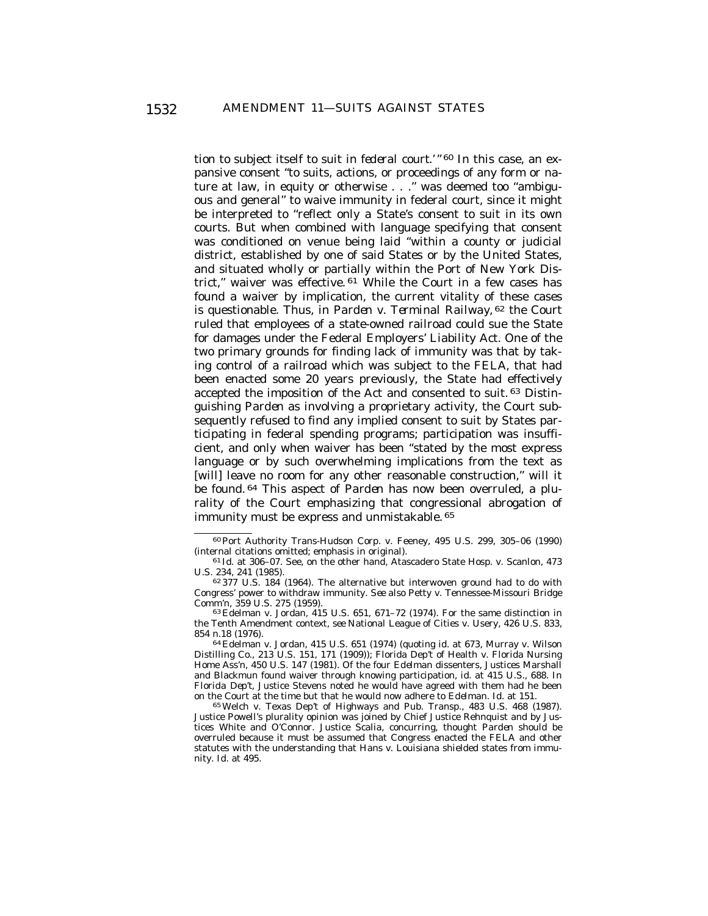tion to subject itself to suit in *federal court*.'"<sup>60</sup> In this case, an expansive consent ''to suits, actions, or proceedings of any form or nature at law, in equity or otherwise . . .'' was deemed too ''ambiguous and general'' to waive immunity in federal court, since it might be interpreted to ''reflect only a State's consent to suit in its own courts. But when combined with language specifying that consent was conditioned on venue being laid ''within a county or judicial district, established by one of said States or by the United States, and situated wholly or partially within the Port of New York District,'' waiver was effective. 61 While the Court in a few cases has found a waiver by implication, the current vitality of these cases is questionable. Thus, in *Parden v. Terminal Railway*, 62 the Court ruled that employees of a state-owned railroad could sue the State for damages under the Federal Employers' Liability Act. One of the two primary grounds for finding lack of immunity was that by taking control of a railroad which was subject to the FELA, that had been enacted some 20 years previously, the State had effectively accepted the imposition of the Act and consented to suit. 63 Distinguishing *Parden* as involving a proprietary activity, the Court subsequently refused to find any implied consent to suit by States participating in federal spending programs; participation was insufficient, and only when waiver has been ''stated by the most express language or by such overwhelming implications from the text as [will] leave no room for any other reasonable construction," will it be found. 64 This aspect of *Parden* has now been overruled, a plurality of the Court emphasizing that congressional abrogation of immunity must be express and unmistakable. 65

<sup>60</sup>Port Authority Trans-Hudson Corp. v. Feeney, 495 U.S. 299, 305–06 (1990) (internal citations omitted; emphasis in original).

<sup>61</sup> Id. at 306–07. See, on the other hand, Atascadero State Hosp. v. Scanlon, 473 U.S. 234, 241 (1985).

<sup>62</sup> 377 U.S. 184 (1964). The alternative but interwoven ground had to do with Congress' power to withdraw immunity. *See also* Petty v. Tennessee-Missouri Bridge Comm'n, 359 U.S. 275 (1959).

<sup>63</sup> Edelman v. Jordan, 415 U.S. 651, 671–72 (1974). For the same distinction in the Tenth Amendment context, *see* National League of Cities v. Usery, 426 U.S. 833, 854 n.18 (1976).

<sup>64</sup> Edelman v. Jordan, 415 U.S. 651 (1974) (quoting id. at 673, Murray v. Wilson Distilling Co., 213 U.S. 151, 171 (1909)); Florida Dep't of Health v. Florida Nursing Home Ass'n, 450 U.S. 147 (1981). Of the four *Edelman* dissenters, Justices Marshall and Blackmun found waiver through knowing participation, id. at 415 U.S., 688. In *Florida Dep't*, Justice Stevens noted he would have agreed with them had he been on the Court at the time but that he would now adhere to *Edelman*. Id. at 151.

<sup>65</sup>Welch v. Texas Dep't of Highways and Pub. Transp., 483 U.S. 468 (1987). Justice Powell's plurality opinion was joined by Chief Justice Rehnquist and by Justices White and O'Connor. Justice Scalia, concurring, thought *Parden* should be overruled because it must be assumed that Congress enacted the FELA and other statutes with the understanding that *Hans v. Louisiana* shielded states from immunity. Id. at 495.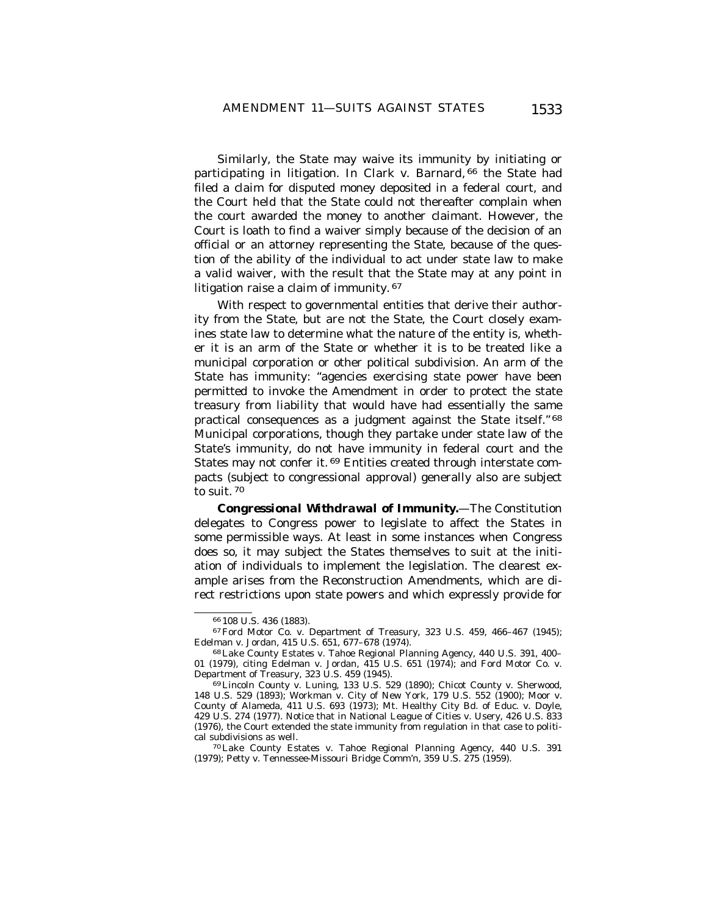Similarly, the State may waive its immunity by initiating or participating in litigation. In *Clark v. Barnard*, 66 the State had filed a claim for disputed money deposited in a federal court, and the Court held that the State could not thereafter complain when the court awarded the money to another claimant. However, the Court is loath to find a waiver simply because of the decision of an official or an attorney representing the State, because of the question of the ability of the individual to act under state law to make a valid waiver, with the result that the State may at any point in litigation raise a claim of immunity. 67

With respect to governmental entities that derive their authority from the State, but are not the State, the Court closely examines state law to determine what the nature of the entity is, whether it is an arm of the State or whether it is to be treated like a municipal corporation or other political subdivision. An arm of the State has immunity: "agencies exercising state power have been permitted to invoke the Amendment in order to protect the state treasury from liability that would have had essentially the same practical consequences as a judgment against the State itself." 68 Municipal corporations, though they partake under state law of the State's immunity, do not have immunity in federal court and the States may not confer it. 69 Entities created through interstate compacts (subject to congressional approval) generally also are subject to suit. 70

*Congressional Withdrawal of Immunity.*—The Constitution delegates to Congress power to legislate to affect the States in some permissible ways. At least in some instances when Congress does so, it may subject the States themselves to suit at the initiation of individuals to implement the legislation. The clearest example arises from the Reconstruction Amendments, which are direct restrictions upon state powers and which expressly provide for

<sup>66</sup> 108 U.S. 436 (1883).

 $67$  Ford Motor Co. v. Department of Treasury, 323 U.S. 459, 466-467 (1945); Edelman v. Jordan, 415 U.S. 651, 677–678 (1974).

<sup>68</sup>Lake County Estates v. Tahoe Regional Planning Agency, 440 U.S. 391, 400– 01 (1979), citing Edelman v. Jordan, 415 U.S. 651 (1974); and Ford Motor Co. v. Department of Treasury, 323 U.S. 459 (1945).

<sup>69</sup>Lincoln County v. Luning, 133 U.S. 529 (1890); Chicot County v. Sherwood, 148 U.S. 529 (1893); Workman v. City of New York, 179 U.S. 552 (1900); Moor v. County of Alameda, 411 U.S. 693 (1973); Mt. Healthy City Bd. of Educ. v. Doyle, 429 U.S. 274 (1977). Notice that in National League of Cities v. Usery, 426 U.S. 833 (1976), the Court extended the state immunity from regulation in that case to political subdivisions as well.

<sup>70</sup>Lake County Estates v. Tahoe Regional Planning Agency, 440 U.S. 391 (1979); Petty v. Tennessee-Missouri Bridge Comm'n, 359 U.S. 275 (1959).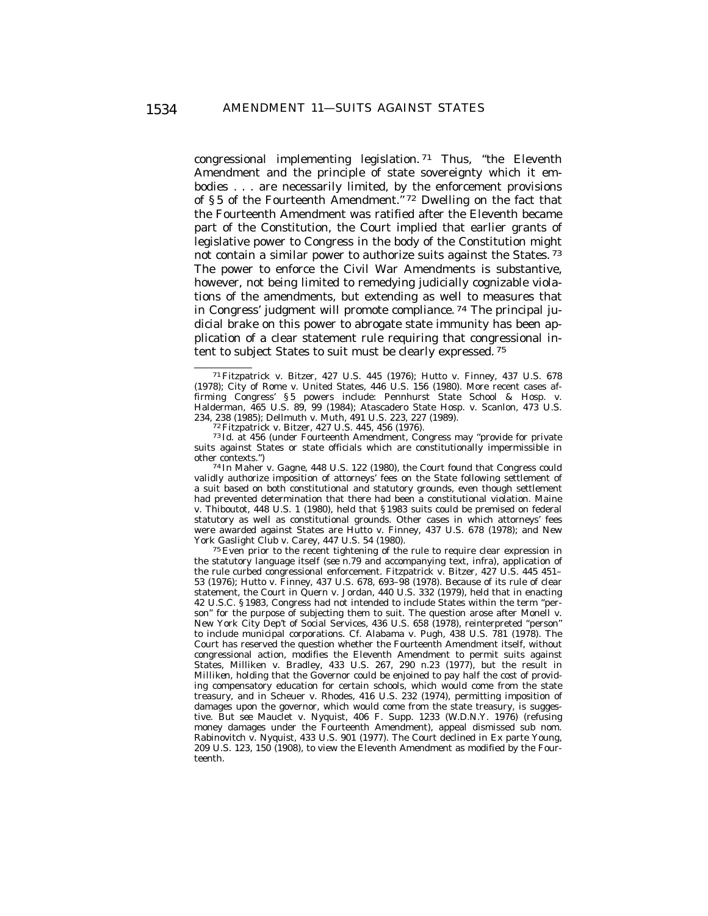congressional implementing legislation. 71 Thus, ''the Eleventh Amendment and the principle of state sovereignty which it embodies . . . are necessarily limited, by the enforcement provisions of § 5 of the Fourteenth Amendment.'' 72 Dwelling on the fact that the Fourteenth Amendment was ratified after the Eleventh became part of the Constitution, the Court implied that earlier grants of legislative power to Congress in the body of the Constitution might not contain a similar power to authorize suits against the States. 73 The power to enforce the Civil War Amendments is substantive, however, not being limited to remedying judicially cognizable violations of the amendments, but extending as well to measures that in Congress' judgment will promote compliance. 74 The principal judicial brake on this power to abrogate state immunity has been application of a clear statement rule requiring that congressional intent to subject States to suit must be clearly expressed. 75

<sup>72</sup> Fitzpatrick v. Bitzer, 427 U.S. 445, 456 (1976).  $\frac{1}{3}$ <br><sup>73</sup> Id. at 456 (under Fourteenth Amendment, Congress may "provide for private suits against States or state officials which are constitutionally impermissible in other contexts.")

<sup>74</sup> In Maher v. Gagne, 448 U.S. 122 (1980), the Court found that Congress could validly authorize imposition of attorneys' fees on the State following settlement of a suit based on both constitutional and statutory grounds, even though settlement had prevented determination that there had been a constitutional violation. Maine v. Thiboutot, 448 U.S. 1 (1980), held that § 1983 suits could be premised on federal statutory as well as constitutional grounds. Other cases in which attorneys' fees were awarded against States are Hutto v. Finney, 437 U.S. 678 (1978); and New York Gaslight Club v. Carey, 447 U.S. 54 (1980).

 $75$  Even prior to the recent tightening of the rule to require clear expression in the statutory language itself (*see* n.79 and accompanying text, infra), application of the rule curbed congressional enforcement. Fitzpatrick v. Bitzer, 427 U.S. 445 451– 53 (1976); Hutto v. Finney, 437 U.S. 678, 693–98 (1978). Because of its rule of clear statement, the Court in Quern v. Jordan, 440 U.S. 332 (1979), held that in enacting 42 U.S.C. § 1983, Congress had not intended to include States within the term ''person'' for the purpose of subjecting them to suit. The question arose after Monell v. New York City Dep't of Social Services, 436 U.S. 658 (1978), reinterpreted ''person'' to include municipal corporations. *Cf.* Alabama v. Pugh, 438 U.S. 781 (1978). The Court has reserved the question whether the Fourteenth Amendment itself, without congressional action, modifies the Eleventh Amendment to permit suits against States, Milliken v. Bradley, 433 U.S. 267, 290 n.23 (1977), but the result in *Milliken*, holding that the Governor could be enjoined to pay half the cost of providing compensatory education for certain schools, which would come from the state treasury, and in Scheuer v. Rhodes, 416 U.S. 232 (1974), permitting imposition of damages upon the governor, which would come from the state treasury, is suggestive. *But see* Mauclet v. Nyquist, 406 F. Supp. 1233 (W.D.N.Y. 1976) (refusing money damages under the Fourteenth Amendment), appeal dismissed sub nom. Rabinovitch v. Nyquist, 433 U.S. 901 (1977). The Court declined in Ex parte Young, 209 U.S. 123, 150 (1908), to view the Eleventh Amendment as modified by the Fourteenth.

<sup>71</sup>Fitzpatrick v. Bitzer, 427 U.S. 445 (1976); Hutto v. Finney, 437 U.S. 678 (1978); City of Rome v. United States, 446 U.S. 156 (1980). More recent cases affirming Congress' §5 powers include: Pennhurst State School & Hosp. v. Halderman, 465 U.S. 89, 99 (1984); Atascadero State Hosp. v. Scanlon, 473 U.S.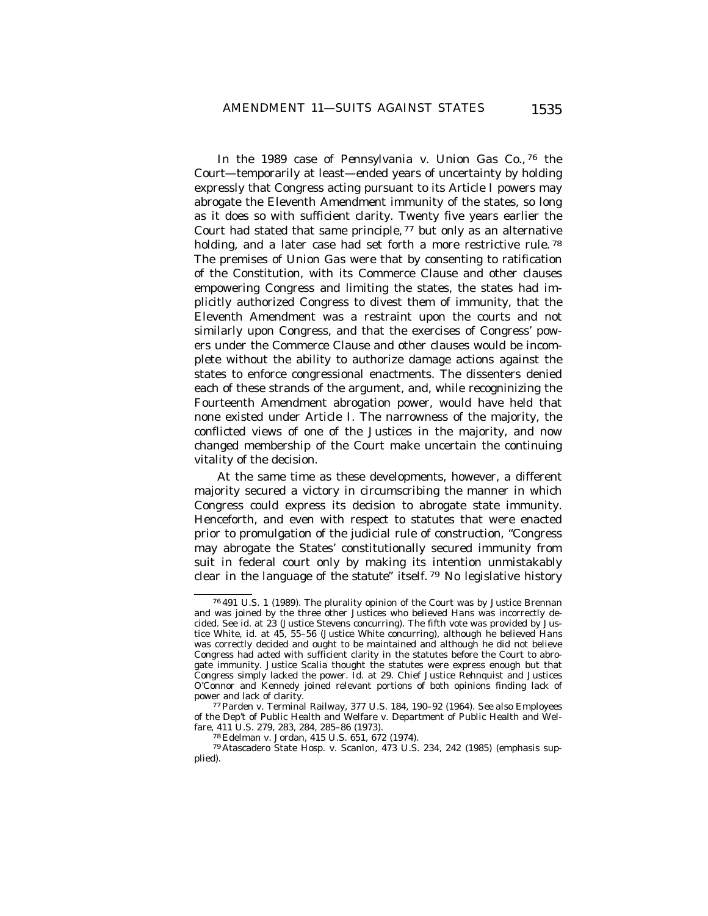In the 1989 case of *Pennsylvania v. Union Gas Co.*, 76 the Court—temporarily at least—ended years of uncertainty by holding expressly that Congress acting pursuant to its Article I powers may abrogate the Eleventh Amendment immunity of the states, so long as it does so with sufficient clarity. Twenty five years earlier the Court had stated that same principle, 77 but only as an alternative holding, and a later case had set forth a more restrictive rule.<sup>78</sup> The premises of *Union Gas* were that by consenting to ratification of the Constitution, with its Commerce Clause and other clauses empowering Congress and limiting the states, the states had implicitly authorized Congress to divest them of immunity, that the Eleventh Amendment was a restraint upon the courts and not similarly upon Congress, and that the exercises of Congress' powers under the Commerce Clause and other clauses would be incomplete without the ability to authorize damage actions against the states to enforce congressional enactments. The dissenters denied each of these strands of the argument, and, while recogninizing the Fourteenth Amendment abrogation power, would have held that none existed under Article I. The narrowness of the majority, the conflicted views of one of the Justices in the majority, and now changed membership of the Court make uncertain the continuing vitality of the decision.

At the same time as these developments, however, a different majority secured a victory in circumscribing the manner in which Congress could express its decision to abrogate state immunity. Henceforth, and even with respect to statutes that were enacted prior to promulgation of the judicial rule of construction, ''Congress may abrogate the States' constitutionally secured immunity from suit in federal court only by making its intention unmistakably clear *in the language of the statute*'' itself. 79 No legislative history

<sup>76</sup> 491 U.S. 1 (1989). The plurality opinion of the Court was by Justice Brennan and was joined by the three other Justices who believed *Hans* was incorrectly decided. See id. at 23 (Justice Stevens concurring). The fifth vote was provided by Justice White, id. at 45, 55–56 (Justice White concurring), although he believed *Hans* was correctly decided and ought to be maintained and although he did not believe Congress had acted with sufficient clarity in the statutes before the Court to abrogate immunity. Justice Scalia thought the statutes were express enough but that Congress simply lacked the power. Id. at 29. Chief Justice Rehnquist and Justices O'Connor and Kennedy joined relevant portions of both opinions finding lack of power and lack of clarity.

<sup>77</sup>Parden v. Terminal Railway, 377 U.S. 184, 190–92 (1964). *See also* Employees of the Dep't of Public Health and Welfare v. Department of Public Health and Welfare, 411 U.S. 279, 283, 284, 285–86 (1973).

<sup>78</sup> Edelman v. Jordan, 415 U.S. 651, 672 (1974).

<sup>79</sup> Atascadero State Hosp. v. Scanlon, 473 U.S. 234, 242 (1985) (emphasis supplied).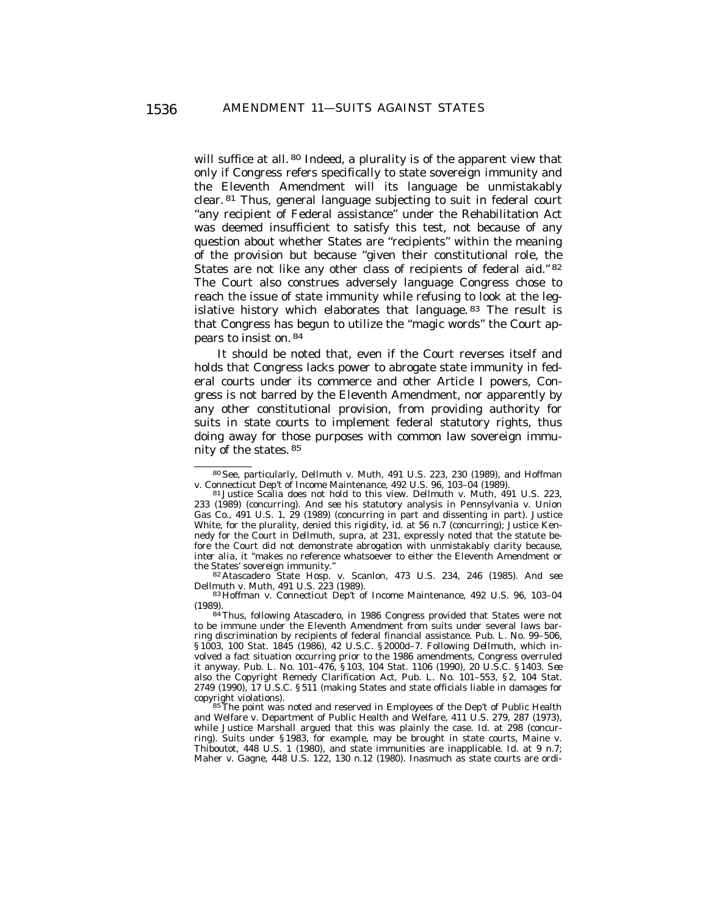will suffice at all.<sup>80</sup> Indeed, a plurality is of the apparent view that only if Congress refers specifically to state sovereign immunity and the Eleventh Amendment will its language be unmistakably clear. 81 Thus, general language subjecting to suit in federal court "any recipient of Federal assistance" under the Rehabilitation Act was deemed insufficient to satisfy this test, not because of any question about whether States are ''recipients'' within the meaning of the provision but because ''given their constitutional role, the States are not like any other class of recipients of federal aid." 82 The Court also construes adversely language Congress chose to reach the issue of state immunity while refusing to look at the legislative history which elaborates that language. 83 The result is that Congress has begun to utilize the ''magic words'' the Court appears to insist on. 84

It should be noted that, even if the Court reverses itself and holds that Congress lacks power to abrogate state immunity in federal courts under its commerce and other Article I powers, Congress is not barred by the Eleventh Amendment, nor apparently by any other constitutional provision, from providing authority for suits in *state* courts to implement federal statutory rights, thus doing away for those purposes with common law sovereign immunity of the states. 85

the States' sovereign immunity.'' <sup>82</sup> Atascadero State Hosp. v. Scanlon, 473 U.S. 234, 246 (1985). *And see*

83 Hoffman v. Connecticut Dep't of Income Maintenance, 492 U.S. 96, 103-04 (1989). 84Thus, following *Atascadero*, in 1986 Congress provided that States were not

to be immune under the Eleventh Amendment from suits under several laws barring discrimination by recipients of federal financial assistance. Pub. L. No. 99–506, § 1003, 100 Stat. 1845 (1986), 42 U.S.C. § 2000d–7. Following *Dellmuth*, which involved a fact situation occurring prior to the 1986 amendments, Congress overruled it anyway. Pub. L. No. 101–476, § 103, 104 Stat. 1106 (1990), 20 U.S.C. § 1403. *See also* the Copyright Remedy Clarification Act, Pub. L. No. 101–553, § 2, 104 Stat. 2749 (1990), 17 U.S.C. § 511 (making States and state officials liable in damages for copyright violations). 85The point was noted and reserved in Employees of the Dep't of Public Health

<sup>80</sup>See, particularly, Dellmuth v. Muth, 491 U.S. 223, 230 (1989), and Hoffman

<sup>81</sup> Justice Scalia does not hold to this view. Dellmuth v. Muth, 491 U.S. 223, 233 (1989) (concurring). *And see* his statutory analysis in Pennsylvania v. Union Gas Co., 491 U.S. 1, 29 (1989) (concurring in part and dissenting in part). Justice White, for the plurality, denied this rigidity, id. at 56 n.7 (concurring); Justice Kennedy for the Court in *Dellmuth, supra*, at 231, expressly noted that the statute before the Court did not demonstrate abrogation with unmistakably clarity because, *inter alia*, it ''makes no reference whatsoever to either the Eleventh Amendment or

and Welfare v. Department of Public Health and Welfare, 411 U.S. 279, 287 (1973), while Justice Marshall argued that this was plainly the case. Id. at 298 (concurring). Suits under § 1983, for example, may be brought in state courts, Maine v. Thiboutot, 448 U.S. 1 (1980), and state immunities are inapplicable. Id. at 9 n.7; Maher v. Gagne, 448 U.S. 122, 130 n.12 (1980). Inasmuch as state courts are ordi-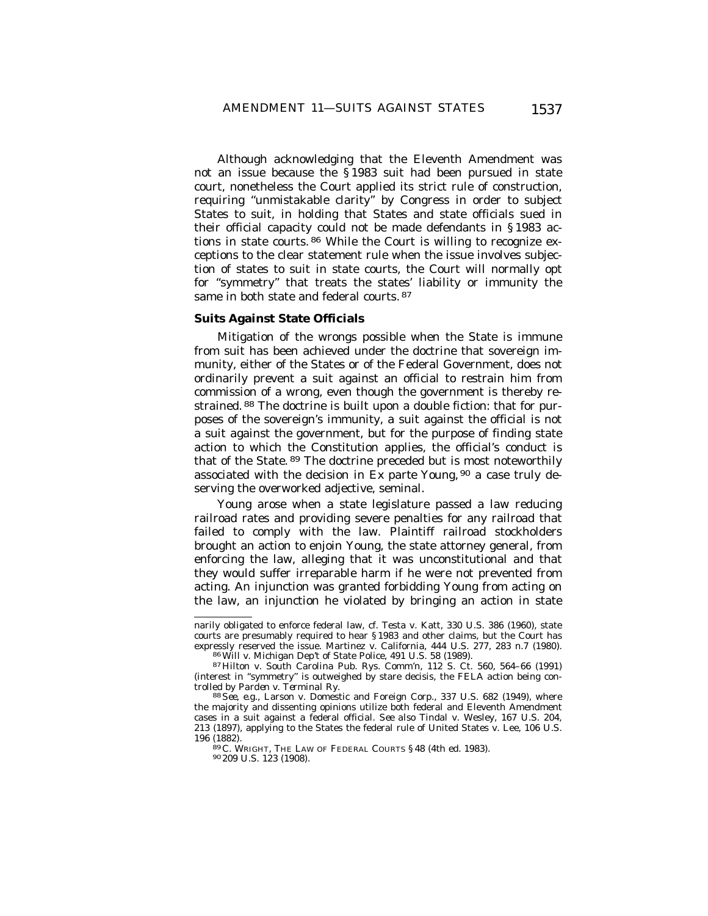Although acknowledging that the Eleventh Amendment was not an issue because the § 1983 suit had been pursued in state court, nonetheless the Court applied its strict rule of construction, requiring ''unmistakable clarity'' by Congress in order to subject States to suit, in holding that States and state officials sued in their official capacity could not be made defendants in § 1983 actions in state courts. 86 While the Court is willing to recognize exceptions to the clear statement rule when the issue involves subjection of states to suit in state courts, the Court will normally opt for ''symmetry'' that treats the states' liability or immunity the same in both state and federal courts. 87

#### **Suits Against State Officials**

Mitigation of the wrongs possible when the State is immune from suit has been achieved under the doctrine that sovereign immunity, either of the States or of the Federal Government, does not ordinarily prevent a suit against an official to restrain him from commission of a wrong, even though the government is thereby restrained. 88 The doctrine is built upon a double fiction: that for purposes of the sovereign's immunity, a suit against the official is not a suit against the government, but for the purpose of finding state action to which the Constitution applies, the official's conduct is that of the State. 89 The doctrine preceded but is most noteworthily associated with the decision in *Ex parte Young*, 90 a case truly deserving the overworked adjective, seminal.

*Young* arose when a state legislature passed a law reducing railroad rates and providing severe penalties for any railroad that failed to comply with the law. Plaintiff railroad stockholders brought an action to enjoin Young, the state attorney general, from enforcing the law, alleging that it was unconstitutional and that they would suffer irreparable harm if he were not prevented from acting. An injunction was granted forbidding Young from acting on the law, an injunction he violated by bringing an action in state

narily obligated to enforce federal law, *cf.* Testa v. Katt, 330 U.S. 386 (1960), state courts are presumably required to hear § 1983 and other claims, but the Court has expressly reserved the issue. Martinez v. California, 444 U.S. 277, 283 n.7 (1980). 86Will v. Michigan Dep't of State Police, 491 U.S. 58 (1989).

<sup>87</sup> Hilton v. South Carolina Pub. Rys. Comm'n, 112 S. Ct. 560, 564–66 (1991) (interest in ''symmetry'' is outweighed by stare decisis, the FELA action being controlled by *Parden v. Terminal Ry.*

<sup>88</sup>*See, e.g.*, Larson v. Domestic and Foreign Corp., 337 U.S. 682 (1949), where the majority and dissenting opinions utilize both federal and Eleventh Amendment cases in a suit against a federal official. *See also* Tindal v. Wesley, 167 U.S. 204, 213 (1897), applying to the States the federal rule of United States v. Lee, 106 U.S. 196 (1882).

<sup>89</sup> C. WRIGHT, THE LAW OF FEDERAL COURTS § 48 (4th ed. 1983).

<sup>90</sup> 209 U.S. 123 (1908).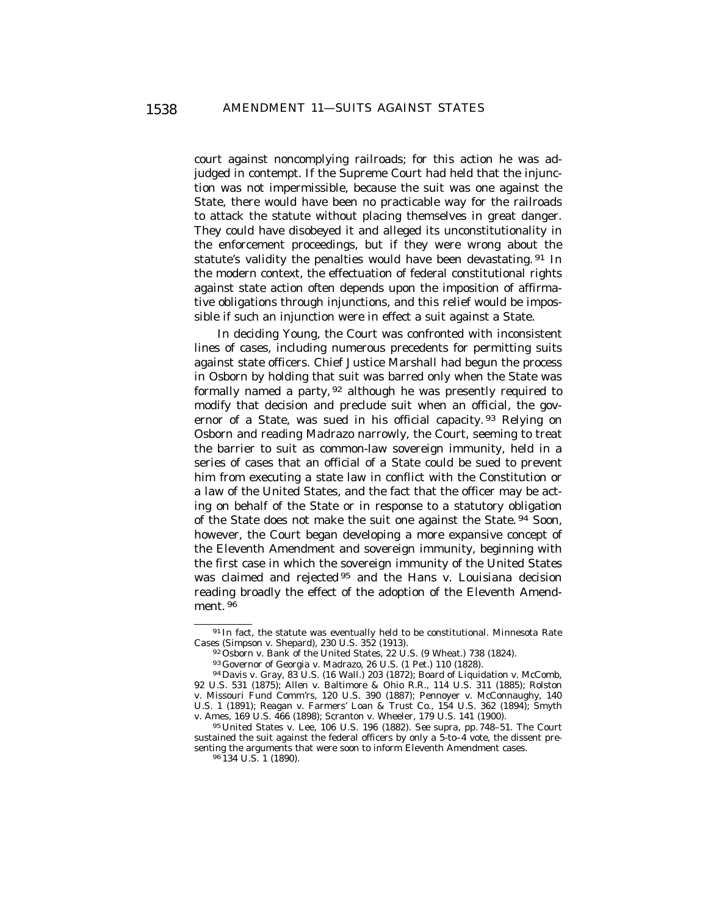court against noncomplying railroads; for this action he was adjudged in contempt. If the Supreme Court had held that the injunction was not impermissible, because the suit was one against the State, there would have been no practicable way for the railroads to attack the statute without placing themselves in great danger. They could have disobeyed it and alleged its unconstitutionality in the enforcement proceedings, but if they were wrong about the statute's validity the penalties would have been devastating. 91 In the modern context, the effectuation of federal constitutional rights against state action often depends upon the imposition of affirmative obligations through injunctions, and this relief would be impossible if such an injunction were in effect a suit against a State.

In deciding *Young*, the Court was confronted with inconsistent lines of cases, including numerous precedents for permitting suits against state officers. Chief Justice Marshall had begun the process in *Osborn* by holding that suit was barred only when the State was formally named a party, 92 although he was presently required to modify that decision and preclude suit when an official, the governor of a State, was sued in his official capacity. 93 Relying on *Osborn* and reading *Madrazo* narrowly, the Court, seeming to treat the barrier to suit as common-law sovereign immunity, held in a series of cases that an official of a State could be sued to prevent him from executing a state law in conflict with the Constitution or a law of the United States, and the fact that the officer may be acting on behalf of the State or in response to a statutory obligation of the State does not make the suit one against the State. 94 Soon, however, the Court began developing a more expansive concept of the Eleventh Amendment and sovereign immunity, beginning with the first case in which the sovereign immunity of the United States was claimed and rejected 95 and the *Hans v. Louisiana* decision reading broadly the effect of the adoption of the Eleventh Amendment. 96

<sup>91</sup> In fact, the statute was eventually held to be constitutional. Minnesota Rate Cases (Simpson v. Shepard), 230 U.S. 352 (1913).

<sup>92</sup> Osborn v. Bank of the United States, 22 U.S. (9 Wheat.) 738 (1824).

<sup>93</sup>Governor of Georgia v. Madrazo, 26 U.S. (1 Pet.) 110 (1828).

<sup>94</sup>Davis v. Gray, 83 U.S. (16 Wall.) 203 (1872); Board of Liquidation v. McComb, 92 U.S. 531 (1875); Allen v. Baltimore & Ohio R.R., 114 U.S. 311 (1885); Rolston v. Missouri Fund Comm'rs, 120 U.S. 390 (1887); Pennoyer v. McConnaughy, 140 U.S. 1 (1891); Reagan v. Farmers' Loan & Trust Co., 154 U.S. 362 (1894); Smyth v. Ames, 169 U.S. 466 (1898); Scranton v. Wheeler, 179 U.S. 141 (1900).

<sup>95</sup> United States v. Lee, 106 U.S. 196 (1882). *See* supra, pp. 748–51. The Court sustained the suit against the federal officers by only a 5-to–4 vote, the dissent presenting the arguments that were soon to inform Eleventh Amendment cases.

<sup>96</sup> 134 U.S. 1 (1890).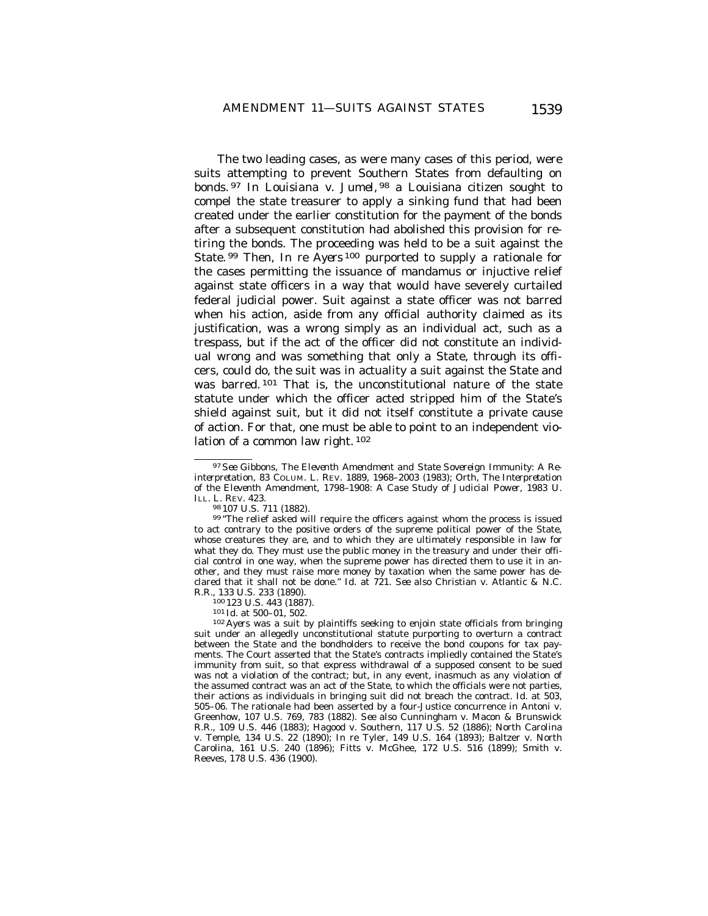The two leading cases, as were many cases of this period, were suits attempting to prevent Southern States from defaulting on bonds. 97 In *Louisiana v. Jumel*, 98 a Louisiana citizen sought to compel the state treasurer to apply a sinking fund that had been created under the earlier constitution for the payment of the bonds after a subsequent constitution had abolished this provision for retiring the bonds. The proceeding was held to be a suit against the State. 99 Then, *In re Ayers* 100 purported to supply a rationale for the cases permitting the issuance of mandamus or injuctive relief against state officers in a way that would have severely curtailed federal judicial power. Suit against a state officer was not barred when his action, aside from any official authority claimed as its justification, was a wrong simply as an individual act, such as a trespass, but if the act of the officer did not constitute an individual wrong and was something that only a State, through its officers, could do, the suit was in actuality a suit against the State and was barred. 101 That is, the unconstitutional nature of the state statute under which the officer acted stripped him of the State's shield against suit, but it did not itself constitute a private cause of action. For that, one must be able to point to an independent violation of a common law right. 102

<sup>97</sup>*See* Gibbons, *The Eleventh Amendment and State Sovereign Immunity: A Reinterpretation*, 83 COLUM. L. REV. 1889, 1968–2003 (1983); Orth, *The Interpretation of the Eleventh Amendment, 1798–1908: A Case Study of Judicial Power*, 1983 U. ILL. L. REV. 423.

<sup>98</sup> 107 U.S. 711 (1882).

<sup>99 &</sup>quot;The relief asked will require the officers against whom the process is issued to act contrary to the positive orders of the supreme political power of the State, whose creatures they are, and to which they are ultimately responsible in law for what they do. They must use the public money in the treasury and under their official control in one way, when the supreme power has directed them to use it in another, and they must raise more money by taxation when the same power has declared that it shall not be done.'' Id. at 721. *See also* Christian v. Atlantic & N.C. R.R., 133 U.S. 233 (1890).

<sup>100</sup> 123 U.S. 443 (1887).

<sup>101</sup> Id. at 500–01, 502.

<sup>102</sup> *Ayers* was a suit by plaintiffs seeking to enjoin state officials from bringing suit under an allegedly unconstitutional statute purporting to overturn a contract between the State and the bondholders to receive the bond coupons for tax payments. The Court asserted that the State's contracts impliedly contained the State's immunity from suit, so that express withdrawal of a supposed consent to be sued was not a violation of the contract; but, in any event, inasmuch as any violation of the assumed contract was an act of the State, to which the officials were not parties, their actions as individuals in bringing suit did not breach the contract. Id. at 503, 505–06. The rationale had been asserted by a four-Justice concurrence in Antoni v. Greenhow, 107 U.S. 769, 783 (1882). *See also* Cunningham v. Macon & Brunswick R.R., 109 U.S. 446 (1883); Hagood v. Southern, 117 U.S. 52 (1886); North Carolina v. Temple, 134 U.S. 22 (1890); In re Tyler, 149 U.S. 164 (1893); Baltzer v. North Carolina, 161 U.S. 240 (1896); Fitts v. McGhee, 172 U.S. 516 (1899); Smith v. Reeves, 178 U.S. 436 (1900).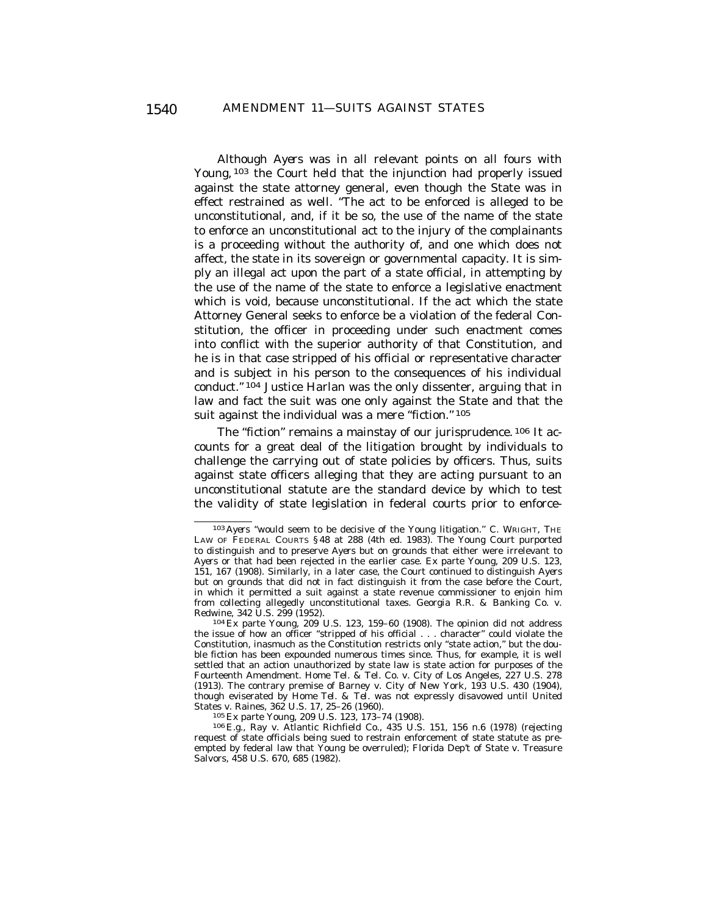Although *Ayers* was in all relevant points on all fours with *Young*, 103 the Court held that the injunction had properly issued against the state attorney general, even though the State was in effect restrained as well. ''The act to be enforced is alleged to be unconstitutional, and, if it be so, the use of the name of the state to enforce an unconstitutional act to the injury of the complainants is a proceeding without the authority of, and one which does not affect, the state in its sovereign or governmental capacity. It is simply an illegal act upon the part of a state official, in attempting by the use of the name of the state to enforce a legislative enactment which is void, because unconstitutional. If the act which the state Attorney General seeks to enforce be a violation of the federal Constitution, the officer in proceeding under such enactment comes into conflict with the superior authority of that Constitution, and he is in that case stripped of his official or representative character and is subject in his person to the consequences of his individual conduct.'' 104 Justice Harlan was the only dissenter, arguing that in law and fact the suit was one only against the State and that the suit against the individual was a mere "fiction." 105

The "fiction" remains a mainstay of our jurisprudence. <sup>106</sup> It accounts for a great deal of the litigation brought by individuals to challenge the carrying out of state policies by officers. Thus, suits against state officers alleging that they are acting pursuant to an unconstitutional statute are the standard device by which to test the validity of state legislation in federal courts prior to enforce-

<sup>103</sup> *Ayers* ''would seem to be decisive of the *Young* litigation.'' C. WRIGHT, THE LAW OF FEDERAL COURTS § 48 at 288 (4th ed. 1983). The *Young* Court purported to distinguish and to preserve *Ayers* but on grounds that either were irrelevant to *Ayers* or that had been rejected in the earlier case. Ex parte Young, 209 U.S. 123, 151, 167 (1908). Similarly, in a later case, the Court continued to distinguish *Ayers* but on grounds that did not in fact distinguish it from the case before the Court, in which it permitted a suit against a state revenue commissioner to enjoin him from collecting allegedly unconstitutional taxes. Georgia R.R. & Banking Co. v. Redwine, 342 U.S. 299 (1952).

<sup>104</sup> Ex parte Young, 209 U.S. 123, 159–60 (1908). The opinion did not address the issue of how an officer "stripped of his official . . . character" could violate the Constitution, inasmuch as the Constitution restricts only ''state action,'' but the double fiction has been expounded numerous times since. Thus, for example, it is well settled that an action unauthorized by state law is state action for purposes of the Fourteenth Amendment. Home Tel. & Tel. Co. v. City of Los Angeles, 227 U.S. 278 (1913). The contrary premise of Barney v. City of New York, 193 U.S. 430 (1904), though eviserated by *Home Tel. & Tel.* was not expressly disavowed until United States v. Raines, 362 U.S. 17, 25–26 (1960).

<sup>105</sup> Ex parte Young, 209 U.S. 123, 173–74 (1908).

<sup>106</sup> E.g., Ray v. Atlantic Richfield Co., 435 U.S. 151, 156 n.6 (1978) (rejecting request of state officials being sued to restrain enforcement of state statute as preempted by federal law that *Young* be overruled); Florida Dep't of State v. Treasure Salvors, 458 U.S. 670, 685 (1982).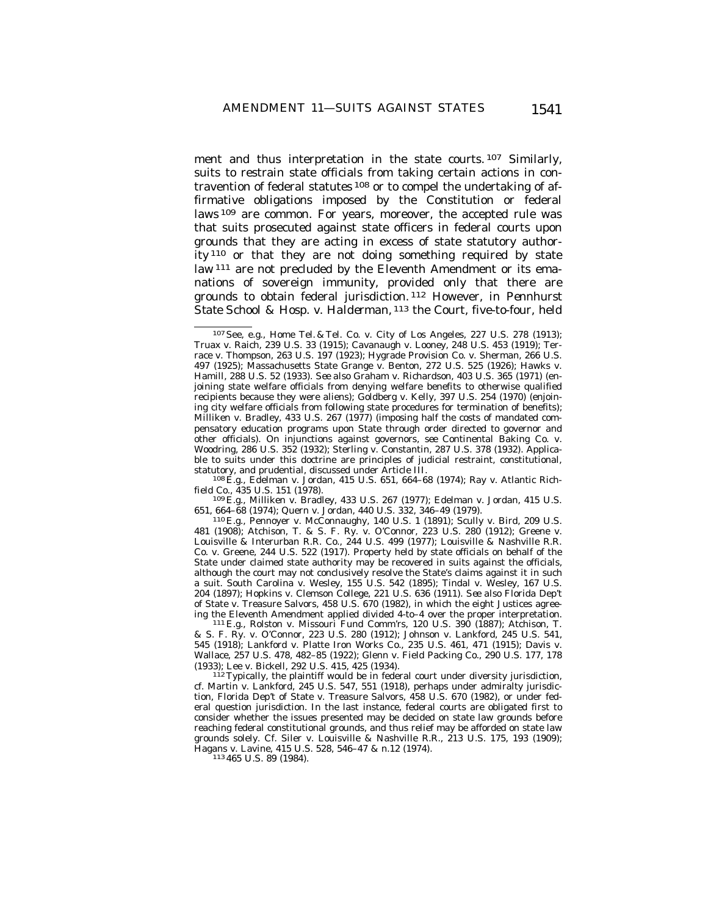ment and thus interpretation in the state courts. 107 Similarly, suits to restrain state officials from taking certain actions in contravention of federal statutes 108 or to compel the undertaking of affirmative obligations imposed by the Constitution or federal laws 109 are common. For years, moreover, the accepted rule was that suits prosecuted against state officers in federal courts upon grounds that they are acting in excess of state statutory authority 110 or that they are not doing something required by state law 111 are not precluded by the Eleventh Amendment or its emanations of sovereign immunity, provided only that there are grounds to obtain federal jurisdiction. 112 However, in *Pennhurst State School & Hosp. v. Halderman*, 113 the Court, five-to-four, held

108 E.g., Edelman v. Jordan, 415 U.S. 651, 664–68 (1974); Ray v. Atlantic Richfield Co., 435 U.S. 151 (1978).

109 E.g., Milliken v. Bradley, 433 U.S. 267 (1977); Edelman v. Jordan, 415 U.S. 651, 664–68 (1974); Quern v. Jordan, 440 U.S. 332, 346–49 (1979). <sup>110</sup> E.g., Pennoyer v. McConnaughy, 140 U.S. 1 (1891); Scully v. Bird, 209 U.S.

481 (1908); Atchison, T. & S. F. Ry. v. O'Connor, 223 U.S. 280 (1912); Greene v. Louisville & Interurban R.R. Co., 244 U.S. 499 (1977); Louisville & Nashville R.R. Co. v. Greene, 244 U.S. 522 (1917). Property held by state officials on behalf of the State under claimed state authority may be recovered in suits against the officials, although the court may not conclusively resolve the State's claims against it in such a suit. South Carolina v. Wesley, 155 U.S. 542 (1895); Tindal v. Wesley, 167 U.S. 204 (1897); Hopkins v. Clemson College, 221 U.S. 636 (1911). *See also* Florida Dep't of State v. Treasure Salvors, 458 U.S. 670 (1982), in which the eight Justices agree-<br>ing the Eleventh Amendment applied divided 4-to-4 over the proper interpretation.

 $111$  E.g., Rolston v. Missouri Fund Comm'rs, 120 U.S. 390 (1887); Atchison, T. & S. F. Ry. v. O'Connor, 223 U.S. 280 (1912); Johnson v. Lankford, 245 U.S. 541, 545 (1918); Lankford v. Platte Iron Works Co., 235 U.S. 461, 471 (1915); Davis v. Wallace, 257 U.S. 478, 482–85 (1922); Glenn v. Field Packing Co., 290 U.S. 177, 178 (1933); Lee v. Bickell, 292 U.S. 415, 425 (1934). 112Typically, the plaintiff would be in federal court under diversity jurisdiction,

cf. Martin v. Lankford, 245 U.S. 547, 551 (1918), perhaps under admiralty jurisdiction, Florida Dep't of State v. Treasure Salvors, 458 U.S. 670 (1982), or under federal question jurisdiction. In the last instance, federal courts are obligated first to consider whether the issues presented may be decided on state law grounds before reaching federal constitutional grounds, and thus relief may be afforded on state law grounds solely. *Cf.* Siler v. Louisville & Nashville R.R., 213 U.S. 175, 193 (1909); Hagans v. Lavine, 415 U.S. 528, 546–47 & n.12 (1974). <sup>113</sup> 465 U.S. 89 (1984).

<sup>107</sup>See, e.g., Home Tel. & Tel. Co. v. City of Los Angeles, 227 U.S. 278 (1913); Truax v. Raich, 239 U.S. 33 (1915); Cavanaugh v. Looney, 248 U.S. 453 (1919); Terrace v. Thompson, 263 U.S. 197 (1923); Hygrade Provision Co. v. Sherman, 266 U.S. 497 (1925); Massachusetts State Grange v. Benton, 272 U.S. 525 (1926); Hawks v. Hamill, 288 U.S. 52 (1933). *See also* Graham v. Richardson, 403 U.S. 365 (1971) (enjoining state welfare officials from denying welfare benefits to otherwise qualified recipients because they were aliens); Goldberg v. Kelly, 397 U.S. 254 (1970) (enjoining city welfare officials from following state procedures for termination of benefits); Milliken v. Bradley, 433 U.S. 267 (1977) (imposing half the costs of mandated compensatory education programs upon State through order directed to governor and other officials). On injunctions against governors, *see* Continental Baking Co. v. Woodring, 286 U.S. 352 (1932); Sterling v. Constantin, 287 U.S. 378 (1932). Applicable to suits under this doctrine are principles of judicial restraint, constitutional, statutory, and prudential, discussed under Article III.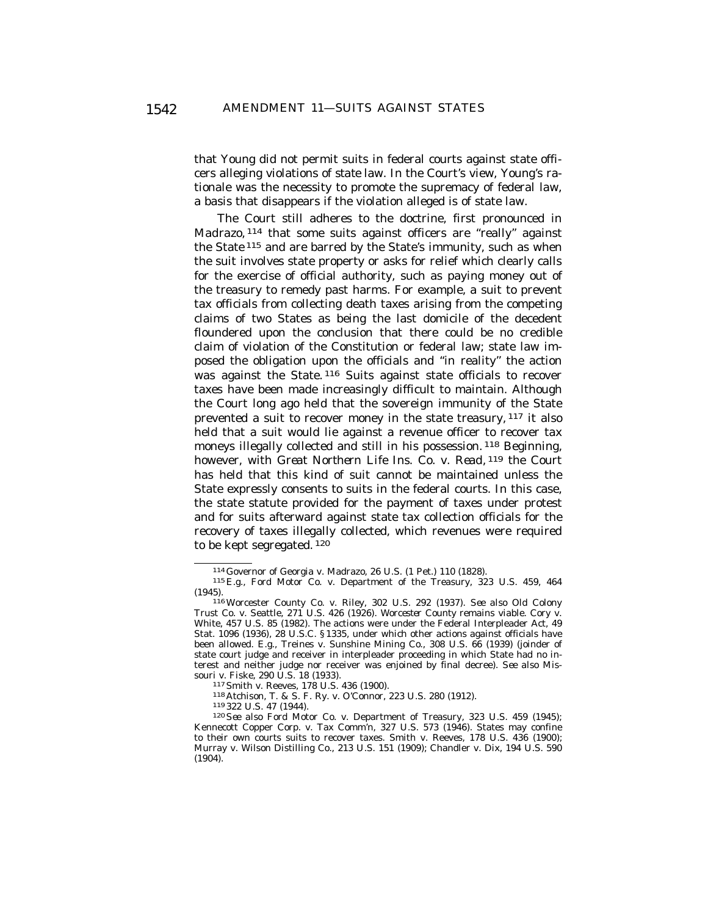that *Young* did not permit suits in federal courts against state officers alleging violations of *state* law. In the Court's view, *Young*'s rationale was the necessity to promote the supremacy of federal law, a basis that disappears if the violation alleged is of state law.

The Court still adheres to the doctrine, first pronounced in *Madrazo*, <sup>114</sup> that some suits against officers are "really" against the State 115 and are barred by the State's immunity, such as when the suit involves state property or asks for relief which clearly calls for the exercise of official authority, such as paying money out of the treasury to remedy past harms. For example, a suit to prevent tax officials from collecting death taxes arising from the competing claims of two States as being the last domicile of the decedent floundered upon the conclusion that there could be no credible claim of violation of the Constitution or federal law; state law imposed the obligation upon the officials and ''in reality'' the action was against the State. 116 Suits against state officials to recover taxes have been made increasingly difficult to maintain. Although the Court long ago held that the sovereign immunity of the State prevented a suit to recover money in the state treasury, 117 it also held that a suit would lie against a revenue officer to recover tax moneys illegally collected and still in his possession. 118 Beginning, however, with *Great Northern Life Ins. Co. v. Read*, 119 the Court has held that this kind of suit cannot be maintained unless the State expressly consents to suits in the federal courts. In this case, the state statute provided for the payment of taxes under protest and for suits afterward against state tax collection officials for the recovery of taxes illegally collected, which revenues were required to be kept segregated. 120

<sup>114</sup>Governor of Georgia v. Madrazo, 26 U.S. (1 Pet.) 110 (1828).

<sup>115</sup> E.g., Ford Motor Co. v. Department of the Treasury, 323 U.S. 459, 464 (1945).

<sup>116</sup>Worcester County Co. v. Riley, 302 U.S. 292 (1937). *See also* Old Colony Trust Co. v. Seattle, 271 U.S. 426 (1926). *Worcester County* remains viable. Cory v. White, 457 U.S. 85 (1982). The actions were under the Federal Interpleader Act, 49 Stat. 1096 (1936), 28 U.S.C. § 1335, under which other actions against officials have been allowed. E.g., Treines v. Sunshine Mining Co., 308 U.S. 66 (1939) (joinder of state court judge and receiver in interpleader proceeding in which State had no interest and neither judge nor receiver was enjoined by final decree). *See also* Missouri v. Fiske, 290 U.S. 18 (1933).

<sup>117</sup>Smith v. Reeves, 178 U.S. 436 (1900).

<sup>118</sup> Atchison, T. & S. F. Ry. v. O'Connor, 223 U.S. 280 (1912).

<sup>119</sup> 322 U.S. 47 (1944).

<sup>120</sup>*See also* Ford Motor Co. v. Department of Treasury, 323 U.S. 459 (1945); Kennecott Copper Corp. v. Tax Comm'n, 327 U.S. 573 (1946). States may confine to their own courts suits to recover taxes. Smith v. Reeves, 178 U.S. 436 (1900); Murray v. Wilson Distilling Co., 213 U.S. 151 (1909); Chandler v. Dix, 194 U.S. 590 (1904).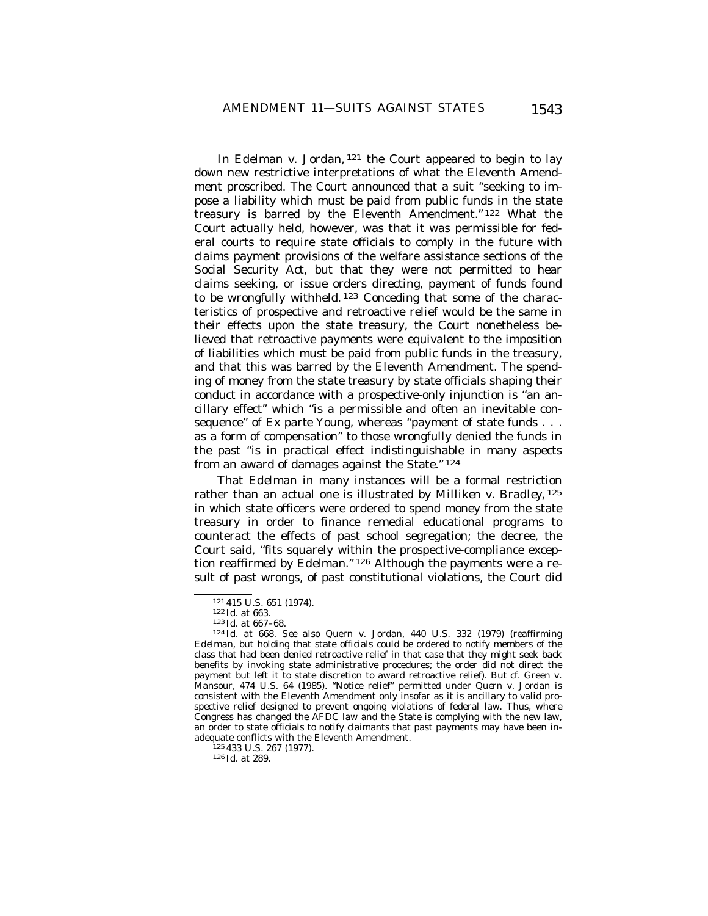In *Edelman v. Jordan*, 121 the Court appeared to begin to lay down new restrictive interpretations of what the Eleventh Amendment proscribed. The Court announced that a suit ''seeking to impose a liability which must be paid from public funds in the state treasury is barred by the Eleventh Amendment.'' 122 What the Court actually held, however, was that it was permissible for federal courts to require state officials to comply in the future with claims payment provisions of the welfare assistance sections of the Social Security Act, but that they were not permitted to hear claims seeking, or issue orders directing, payment of funds found to be wrongfully withheld. 123 Conceding that some of the characteristics of prospective and retroactive relief would be the same in their effects upon the state treasury, the Court nonetheless believed that retroactive payments were equivalent to the imposition of liabilities which must be paid from public funds in the treasury, and that this was barred by the Eleventh Amendment. The spending of money from the state treasury by state officials shaping their conduct in accordance with a prospective-only injunction is ''an ancillary effect'' which ''is a permissible and often an inevitable consequence" of *Ex parte Young*, whereas "payment of state funds . . . as a form of compensation'' to those wrongfully denied the funds in the past ''is in practical effect indistinguishable in many aspects from an award of damages against the State." 124

That *Edelman* in many instances will be a formal restriction rather than an actual one is illustrated by *Milliken v. Bradley*, 125 in which state officers were ordered to spend money from the state treasury in order to finance remedial educational programs to counteract the effects of past school segregation; the decree, the Court said, "fits squarely within the prospective-compliance exception reaffirmed by *Edelman*.'' 126 Although the payments were a result of past wrongs, of past constitutional violations, the Court did

125 433 U.S. 267 (1977).

<sup>121</sup> 415 U.S. 651 (1974).

<sup>122</sup> Id. at 663.

<sup>123</sup> Id. at 667–68.

<sup>124</sup> Id. at 668. *See also* Quern v. Jordan, 440 U.S. 332 (1979) (reaffirming *Edelman*, but holding that state officials could be ordered to notify members of the class that had been denied retroactive relief in that case that they might seek back benefits by invoking state administrative procedures; the order did not direct the payment but left it to state discretion to award retroactive relief). *But cf.* Green v. Mansour, 474 U.S. 64 (1985). ''Notice relief'' permitted under *Quern v. Jordan* is consistent with the Eleventh Amendment only insofar as it is ancillary to valid prospective relief designed to prevent ongoing violations of federal law. Thus, where Congress has changed the AFDC law and the State is complying with the new law, an order to state officials to notify claimants that past payments may have been inadequate conflicts with the Eleventh Amendment.

<sup>126</sup> Id. at 289.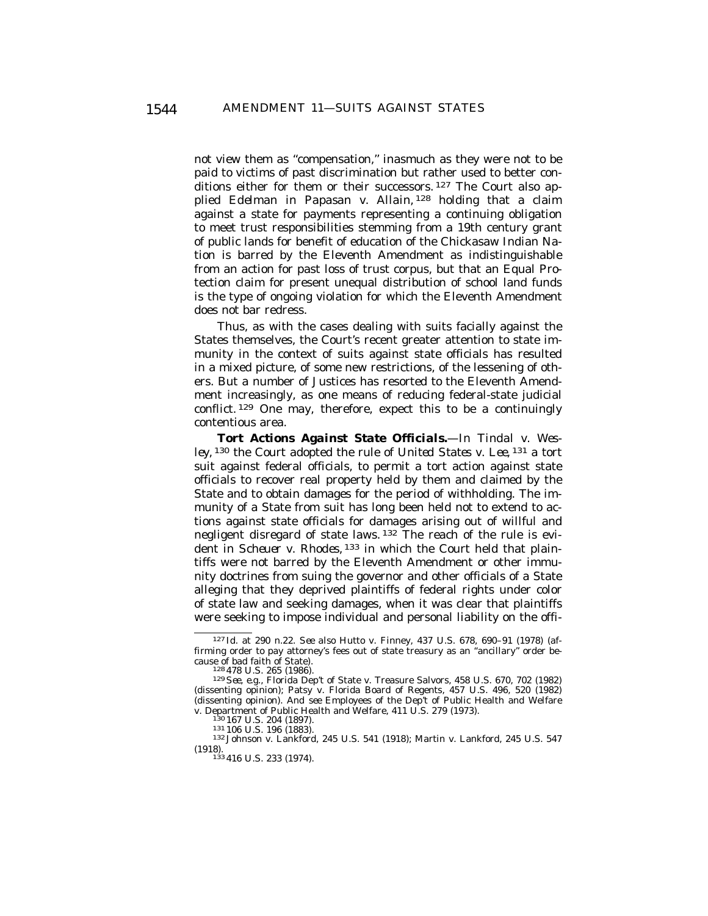not view them as ''compensation,'' inasmuch as they were not to be paid to victims of past discrimination but rather used to better conditions either for them or their successors. 127 The Court also applied *Edelman* in *Papasan v. Allain*, 128 holding that a claim against a state for payments representing a continuing obligation to meet trust responsibilities stemming from a 19th century grant of public lands for benefit of education of the Chickasaw Indian Nation is barred by the Eleventh Amendment as indistinguishable from an action for past loss of trust corpus, but that an Equal Protection claim for present unequal distribution of school land funds is the type of ongoing violation for which the Eleventh Amendment does not bar redress.

Thus, as with the cases dealing with suits facially against the States themselves, the Court's recent greater attention to state immunity in the context of suits against state officials has resulted in a mixed picture, of some new restrictions, of the lessening of others. But a number of Justices has resorted to the Eleventh Amendment increasingly, as one means of reducing federal-state judicial conflict. 129 One may, therefore, expect this to be a continuingly contentious area.

*Tort Actions Against State Officials.*—In *Tindal v. Wesley*, 130 the Court adopted the rule of *United States v. Lee*, 131 a tort suit against federal officials, to permit a tort action against state officials to recover real property held by them and claimed by the State and to obtain damages for the period of withholding. The immunity of a State from suit has long been held not to extend to actions against state officials for damages arising out of willful and negligent disregard of state laws. 132 The reach of the rule is evident in *Scheuer v. Rhodes*, 133 in which the Court held that plaintiffs were not barred by the Eleventh Amendment or other immunity doctrines from suing the governor and other officials of a State alleging that they deprived plaintiffs of federal rights under color of state law and seeking damages, when it was clear that plaintiffs were seeking to impose individual and personal liability on the offi-

<sup>127</sup> Id. at 290 n.22. *See also* Hutto v. Finney, 437 U.S. 678, 690–91 (1978) (affirming order to pay attorney's fees out of state treasury as an ''ancillary'' order be-

<sup>&</sup>lt;sup>128</sup> 478 U.S. 265 (1986).<br><sup>129</sup> *See, e.g.*, Florida Dep't of State v. Treasure Salvors, 458 U.S. 670, 702 (1982) (dissenting opinion); Patsy v. Florida Board of Regents, 457 U.S. 496, 520 (1982) (dissenting opinion). *And see* Employees of the Dep't of Public Health and Welfare v. Department of Public Health and Welfare, 411 U.S. 279 (1973).<br>130 167 U.S. 204 (1897).<br><sup>131</sup> 106 U.S. 196 (1883).<br><sup>132</sup> Johnson v. Lankford, 245 U.S. 541 (1918); Martin v. Lankford, 245 U.S. 547

<sup>(1918).</sup> <sup>133</sup> 416 U.S. 233 (1974).